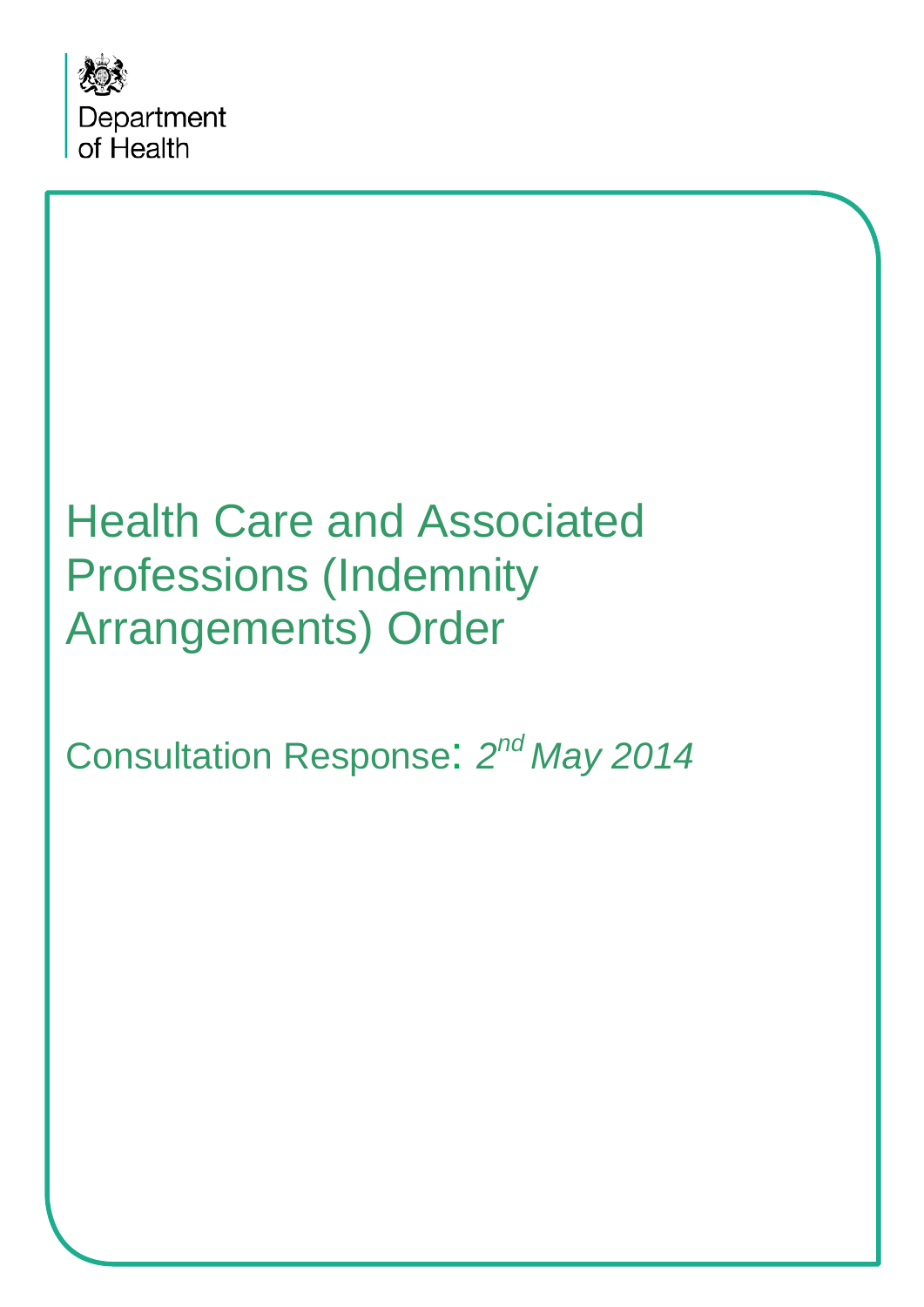

## Health Care and Associated Professions (Indemnity Arrangements) Order

Consultation Response: *2nd May 2014*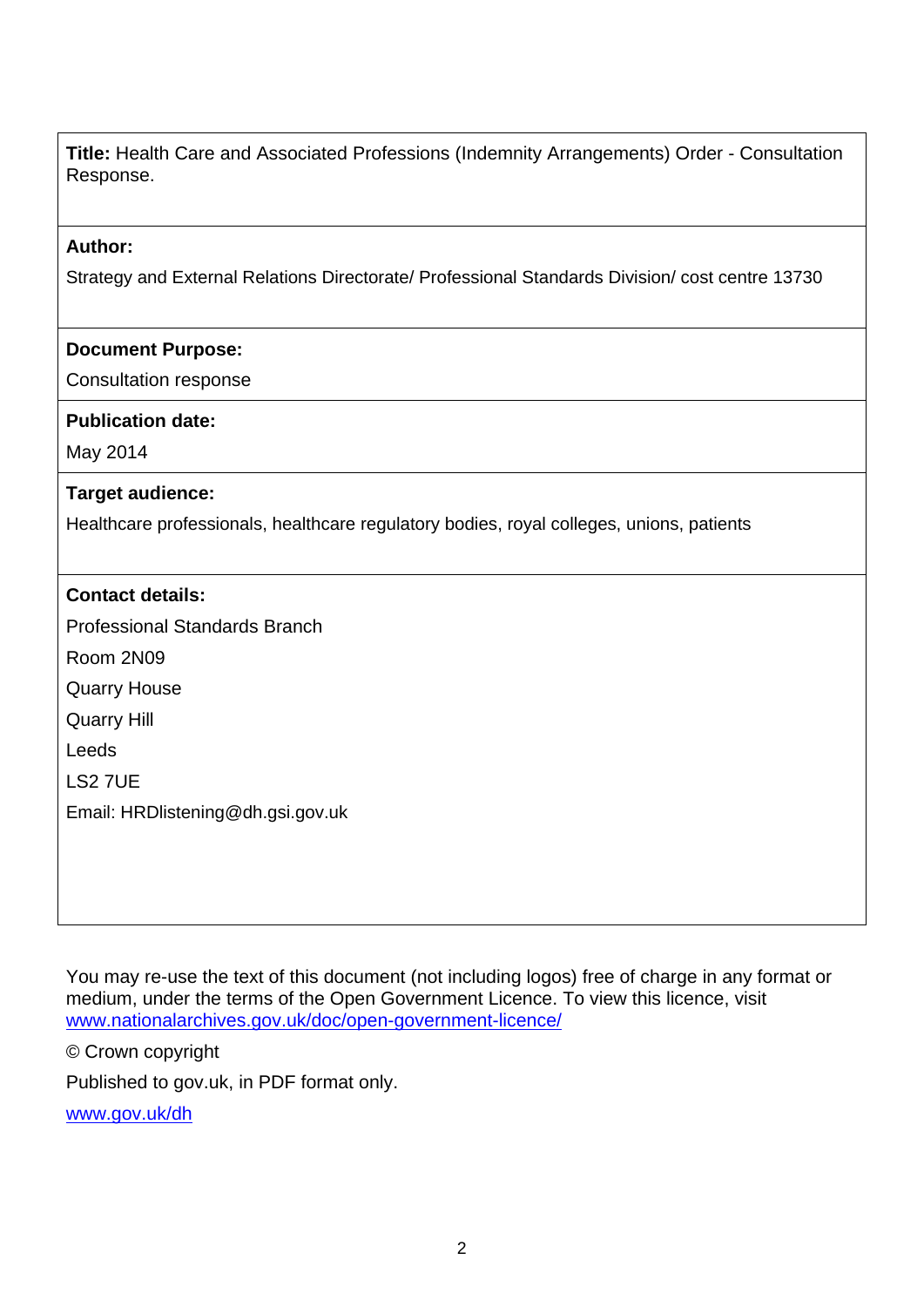#### **Title:** Health Care and Associated Professions (Indemnity Arrangements) Order - Consultation Response.

#### **Author:**

Strategy and External Relations Directorate/ Professional Standards Division/ cost centre 13730

#### **Document Purpose:**

Consultation response

#### **Publication date:**

May 2014

#### **Target audience:**

Healthcare professionals, healthcare regulatory bodies, royal colleges, unions, patients

#### **Contact details:**

Professional Standards Branch

Room 2N09

Quarry House

Quarry Hill

Leeds

LS2 7UE

Email: HRDlistening@dh.gsi.gov.uk

You may re-use the text of this document (not including logos) free of charge in any format or medium, under the terms of the Open Government Licence. To view this licence, visit [www.nationalarchives.gov.uk/doc/open-government-licence/](http://www.nationalarchives.gov.uk/doc/open-government-licence/)

© Crown copyright

Published to gov.uk, in PDF format only.

[www.gov.uk/dh](http://www.gov.uk/dh)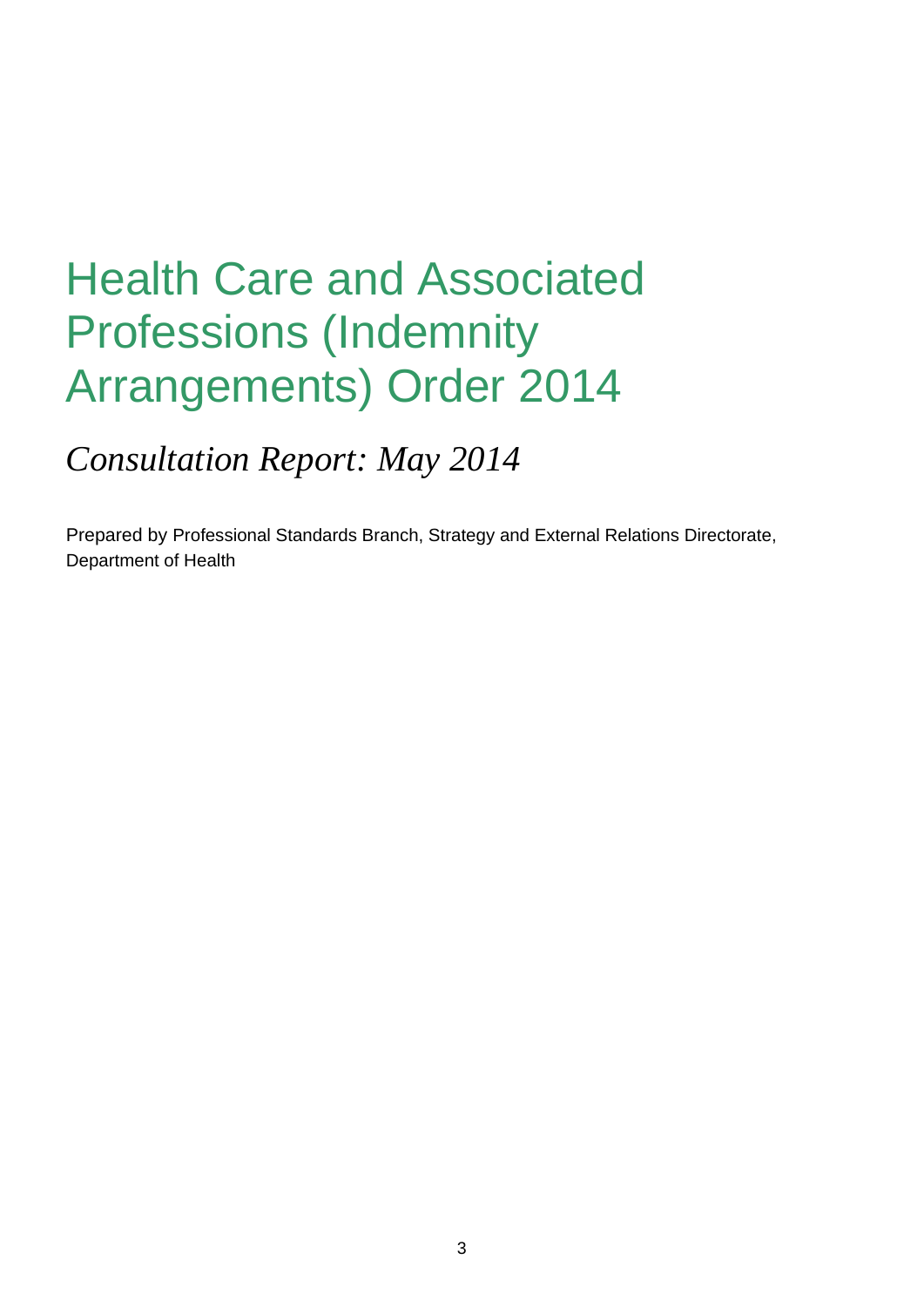## Health Care and Associated Professions (Indemnity Arrangements) Order 2014

*Consultation Report: May 2014*

Prepared by Professional Standards Branch, Strategy and External Relations Directorate, Department of Health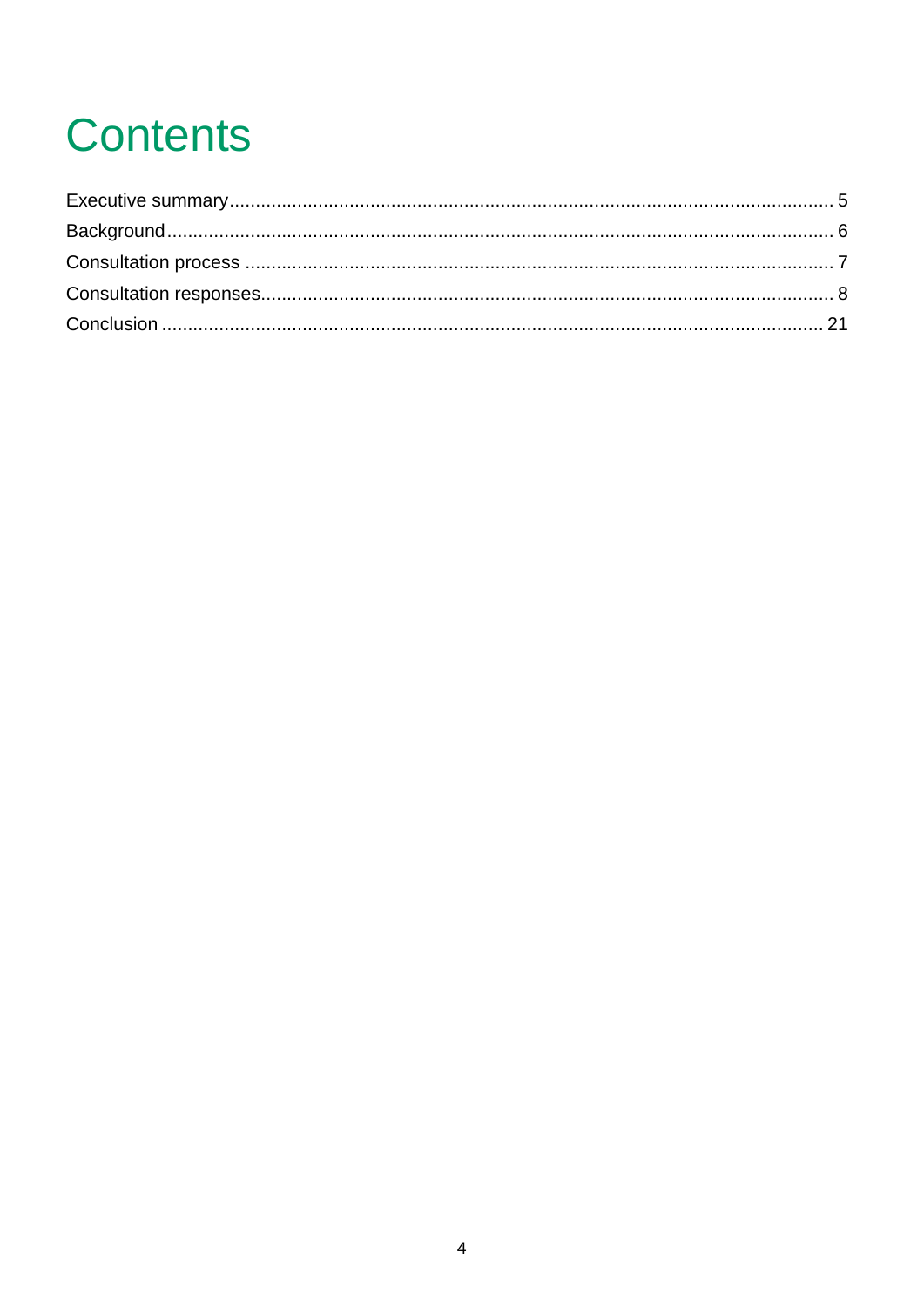# **Contents**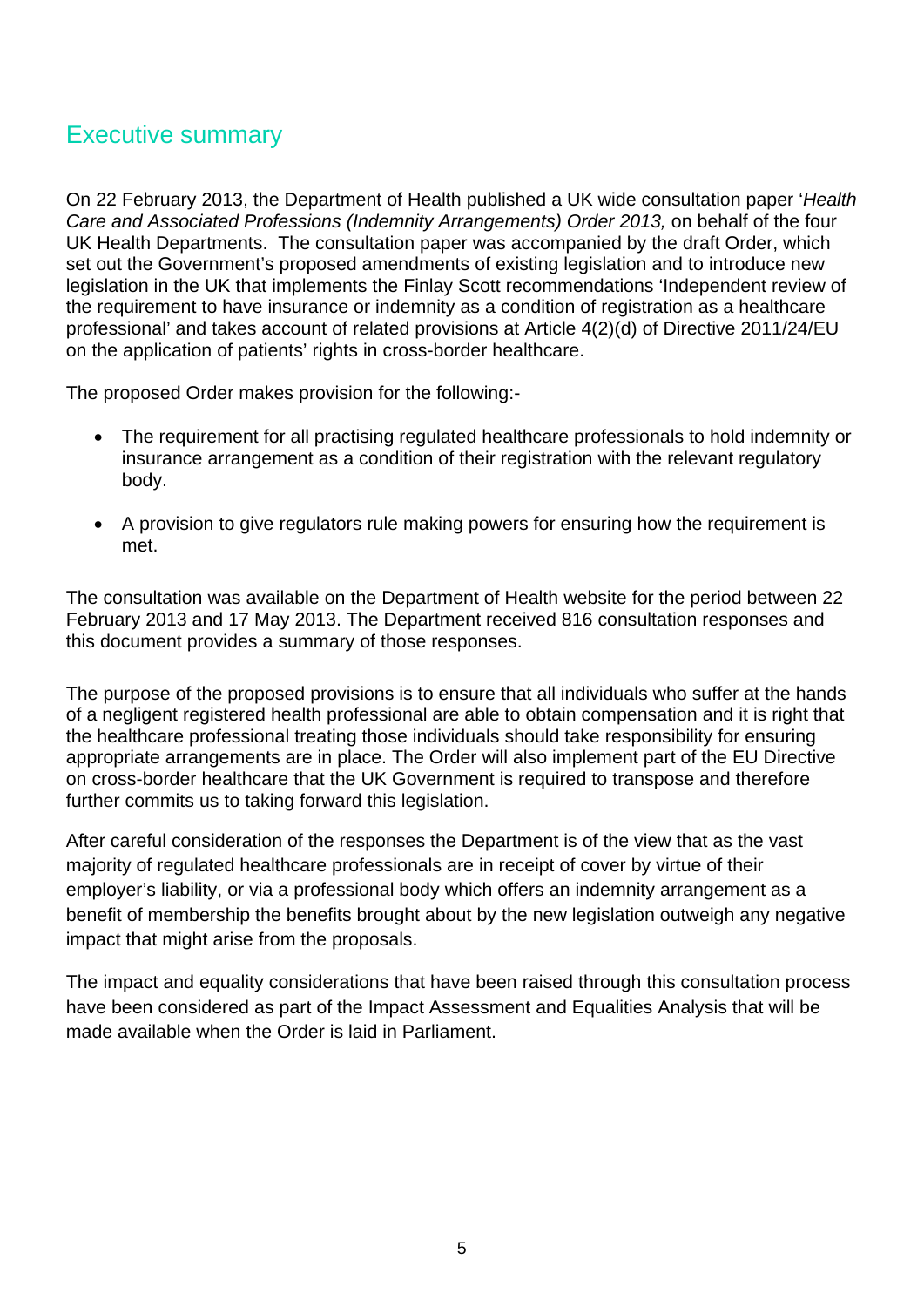### <span id="page-4-0"></span>Executive summary

On 22 February 2013, the Department of Health published a UK wide consultation paper '*Health*  Care and Associated Professions (Indemnity Arrangements) Order 2013, on behalf of the four UK Health Departments. The consultation paper was accompanied by the draft Order, which set out the Government's proposed amendments of existing legislation and to introduce new legislation in the UK that implements the Finlay Scott recommendations 'Independent review of the requirement to have insurance or indemnity as a condition of registration as a healthcare professional' and takes account of related provisions at Article 4(2)(d) of Directive 2011/24/EU on the application of patients' rights in cross-border healthcare.

The proposed Order makes provision for the following:-

- The requirement for all practising regulated healthcare professionals to hold indemnity or insurance arrangement as a condition of their registration with the relevant regulatory body.
- A provision to give regulators rule making powers for ensuring how the requirement is met.

The consultation was available on the Department of Health website for the period between 22 February 2013 and 17 May 2013. The Department received 816 consultation responses and this document provides a summary of those responses.

The purpose of the proposed provisions is to ensure that all individuals who suffer at the hands of a negligent registered health professional are able to obtain compensation and it is right that the healthcare professional treating those individuals should take responsibility for ensuring appropriate arrangements are in place. The Order will also implement part of the EU Directive on cross-border healthcare that the UK Government is required to transpose and therefore further commits us to taking forward this legislation.

After careful consideration of the responses the Department is of the view that as the vast majority of regulated healthcare professionals are in receipt of cover by virtue of their employer's liability, or via a professional body which offers an indemnity arrangement as a benefit of membership the benefits brought about by the new legislation outweigh any negative impact that might arise from the proposals.

<span id="page-4-1"></span>The impact and equality considerations that have been raised through this consultation process have been considered as part of the Impact Assessment and Equalities Analysis that will be made available when the Order is laid in Parliament.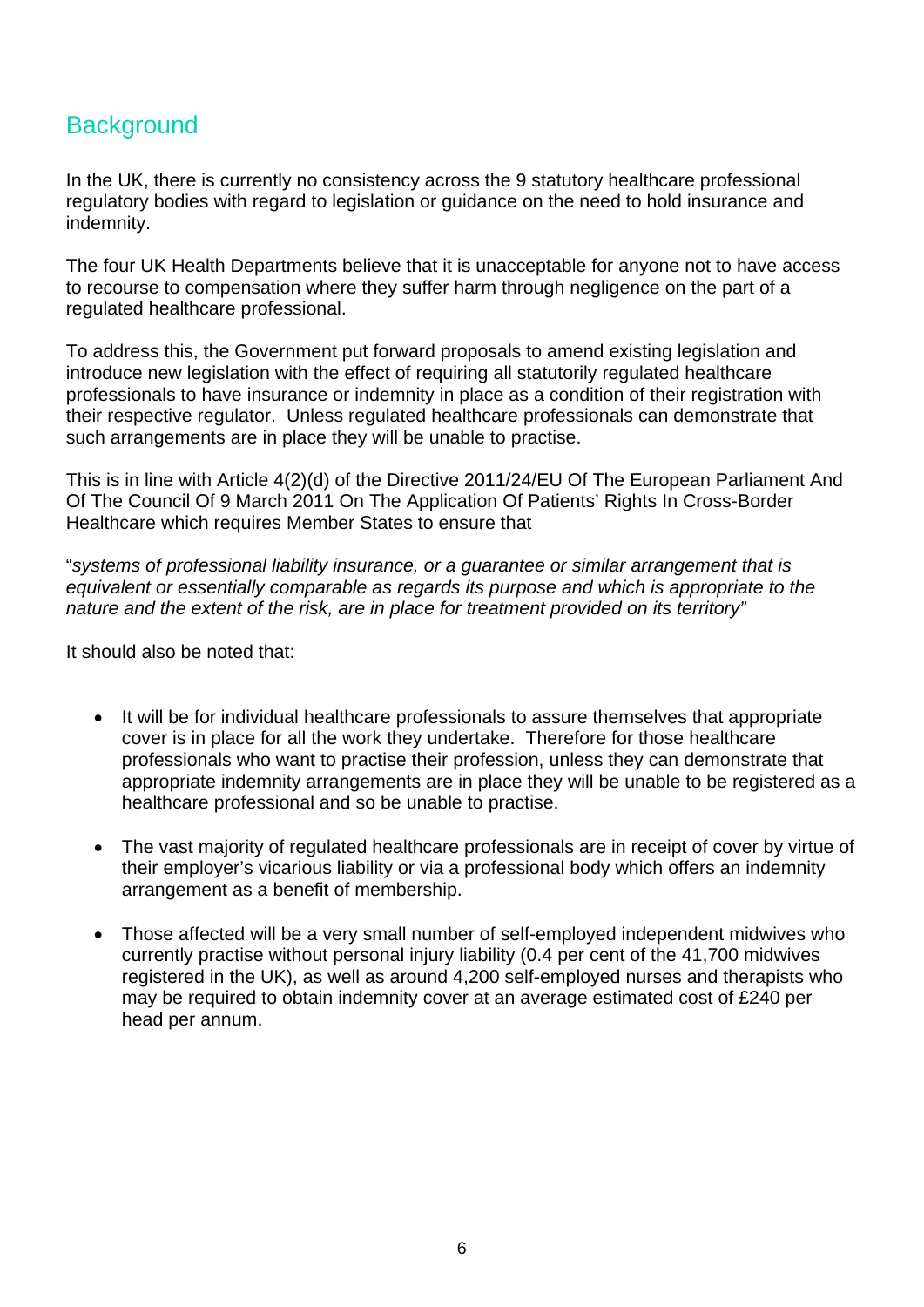## **Background**

In the UK, there is currently no consistency across the 9 statutory healthcare professional regulatory bodies with regard to legislation or guidance on the need to hold insurance and indemnity.

The four UK Health Departments believe that it is unacceptable for anyone not to have access to recourse to compensation where they suffer harm through negligence on the part of a regulated healthcare professional.

To address this, the Government put forward proposals to amend existing legislation and introduce new legislation with the effect of requiring all statutorily regulated healthcare professionals to have insurance or indemnity in place as a condition of their registration with their respective regulator. Unless regulated healthcare professionals can demonstrate that such arrangements are in place they will be unable to practise.

This is in line with Article 4(2)(d) of the Directive 2011/24/EU Of The European Parliament And Of The Council Of 9 March 2011 On The Application Of Patients' Rights In Cross-Border Healthcare which requires Member States to ensure that

"*systems of professional liability insurance, or a guarantee or similar arrangement that is equivalent or essentially comparable as regards its purpose and which is appropriate to the nature and the extent of the risk, are in place for treatment provided on its territory"*

It should also be noted that:

- It will be for individual healthcare professionals to assure themselves that appropriate cover is in place for all the work they undertake. Therefore for those healthcare professionals who want to practise their profession, unless they can demonstrate that appropriate indemnity arrangements are in place they will be unable to be registered as a healthcare professional and so be unable to practise.
- The vast majority of regulated healthcare professionals are in receipt of cover by virtue of their employer's vicarious liability or via a professional body which offers an indemnity arrangement as a benefit of membership.
- Those affected will be a very small number of self-employed independent midwives who currently practise without personal injury liability (0.4 per cent of the 41,700 midwives registered in the UK), as well as around 4,200 self-employed nurses and therapists who may be required to obtain indemnity cover at an average estimated cost of £240 per head per annum.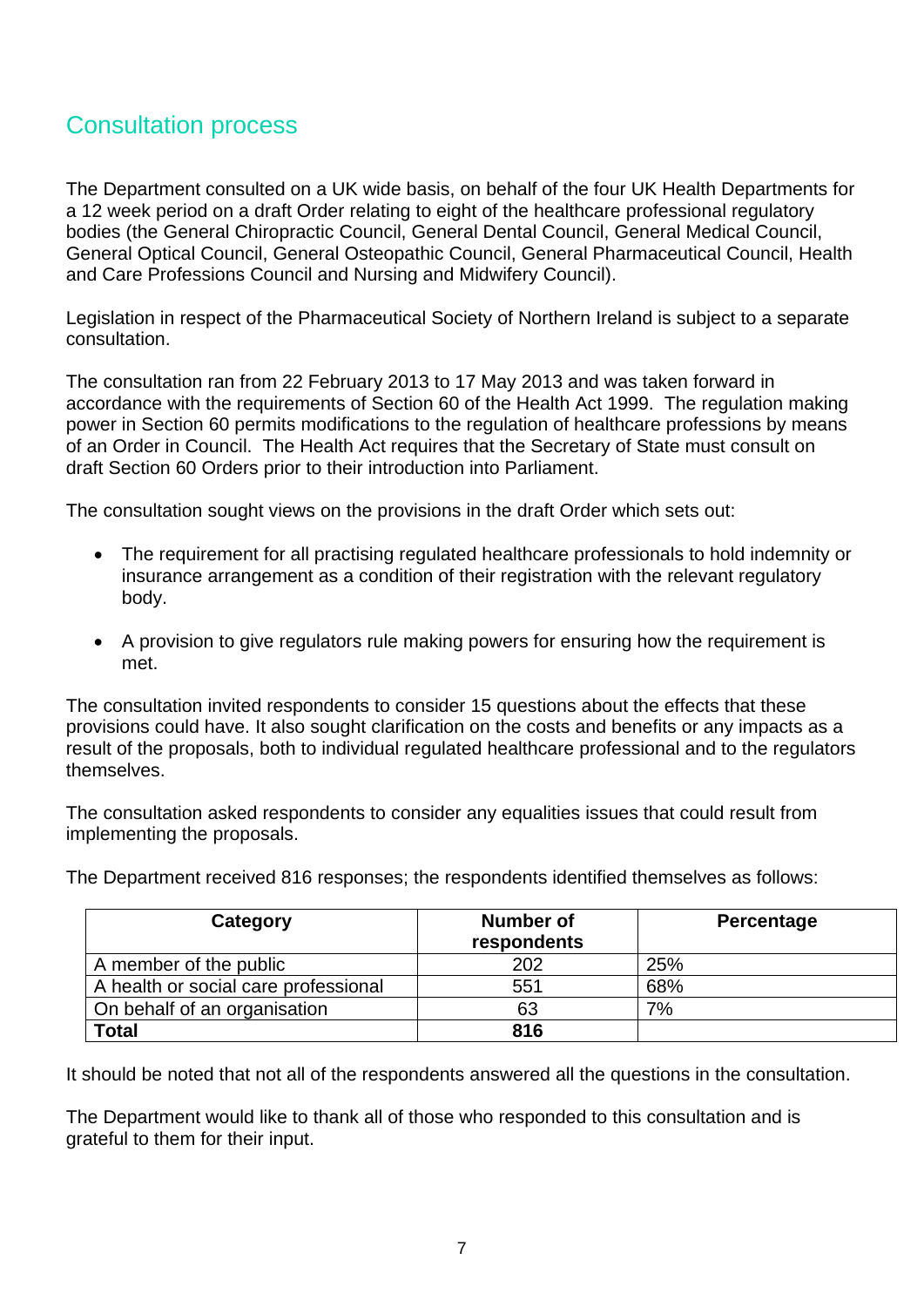### <span id="page-6-0"></span>Consultation process

The Department consulted on a UK wide basis, on behalf of the four UK Health Departments for a 12 week period on a draft Order relating to eight of the healthcare professional regulatory bodies (the General Chiropractic Council, General Dental Council, General Medical Council, General Optical Council, General Osteopathic Council, General Pharmaceutical Council, Health and Care Professions Council and Nursing and Midwifery Council).

Legislation in respect of the Pharmaceutical Society of Northern Ireland is subject to a separate consultation.

The consultation ran from 22 February 2013 to 17 May 2013 and was taken forward in accordance with the requirements of Section 60 of the Health Act 1999. The regulation making power in Section 60 permits modifications to the regulation of healthcare professions by means of an Order in Council. The Health Act requires that the Secretary of State must consult on draft Section 60 Orders prior to their introduction into Parliament.

The consultation sought views on the provisions in the draft Order which sets out:

- The requirement for all practising regulated healthcare professionals to hold indemnity or insurance arrangement as a condition of their registration with the relevant regulatory body.
- A provision to give regulators rule making powers for ensuring how the requirement is met.

The consultation invited respondents to consider 15 questions about the effects that these provisions could have. It also sought clarification on the costs and benefits or any impacts as a result of the proposals, both to individual regulated healthcare professional and to the regulators themselves.

The consultation asked respondents to consider any equalities issues that could result from implementing the proposals.

The Department received 816 responses; the respondents identified themselves as follows:

| Category                             | Number of<br>respondents | Percentage |
|--------------------------------------|--------------------------|------------|
| A member of the public               | 202                      | 25%        |
| A health or social care professional | 551                      | 68%        |
| On behalf of an organisation         | 63                       | 7%         |
| <b>Total</b>                         | 816                      |            |

It should be noted that not all of the respondents answered all the questions in the consultation.

<span id="page-6-1"></span>The Department would like to thank all of those who responded to this consultation and is grateful to them for their input.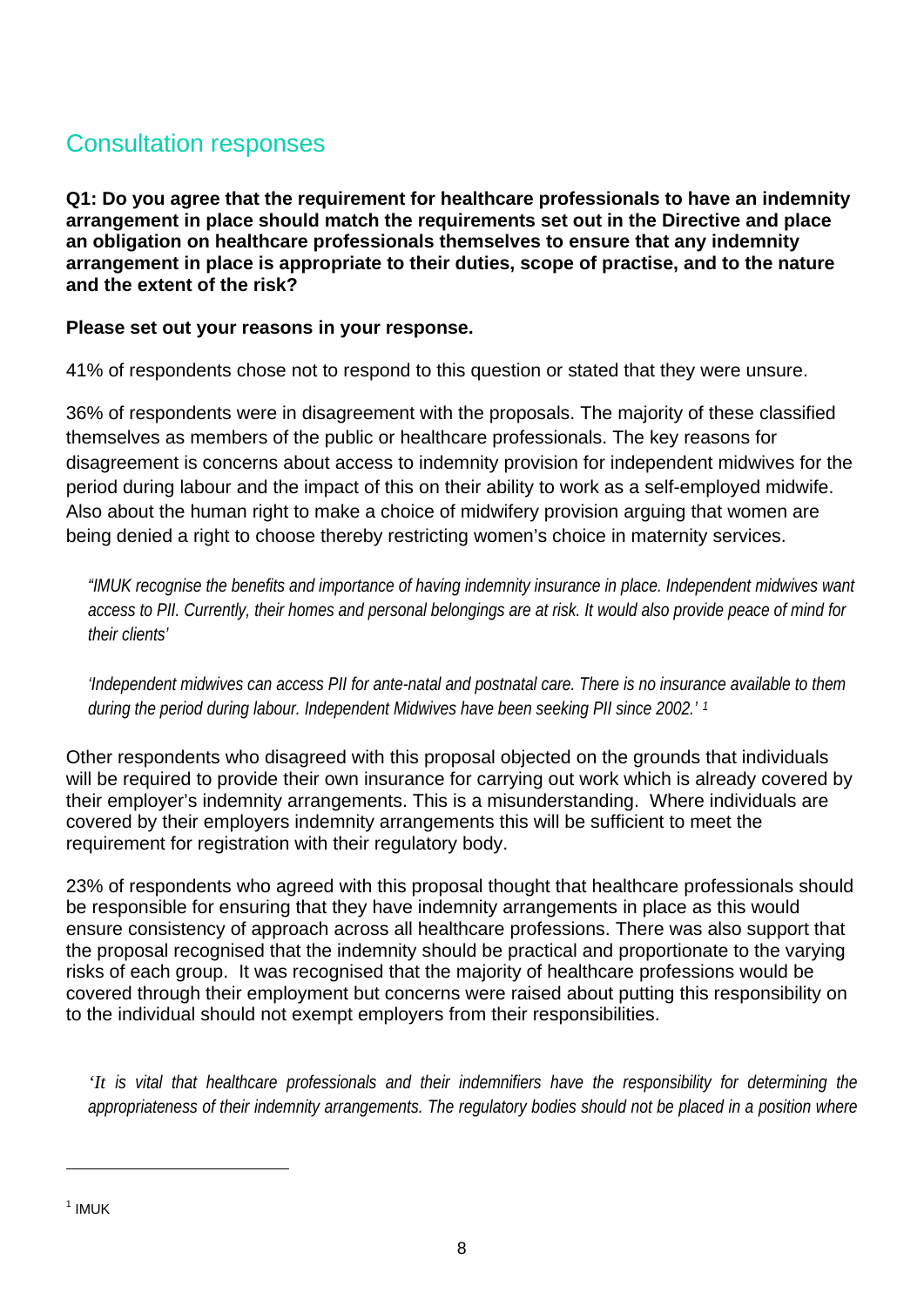## Consultation responses

**Q1: Do you agree that the requirement for healthcare professionals to have an indemnity arrangement in place should match the requirements set out in the Directive and place an obligation on healthcare professionals themselves to ensure that any indemnity arrangement in place is appropriate to their duties, scope of practise, and to the nature and the extent of the risk?**

#### **Please set out your reasons in your response.**

41% of respondents chose not to respond to this question or stated that they were unsure.

36% of respondents were in disagreement with the proposals. The majority of these classified themselves as members of the public or healthcare professionals. The key reasons for disagreement is concerns about access to indemnity provision for independent midwives for the period during labour and the impact of this on their ability to work as a self-employed midwife. Also about the human right to make a choice of midwifery provision arguing that women are being denied a right to choose thereby restricting women's choice in maternity services.

*"IMUK recognise the benefits and importance of having indemnity insurance in place. Independent midwives want access to PII. Currently, their homes and personal belongings are at risk. It would also provide peace of mind for their clients'*

*'Independent midwives can access PII for ante-natal and postnatal care. There is no insurance available to them during the period during labour. Independent Midwives have been seeking PII since 2002.' [1](#page-7-0)*

Other respondents who disagreed with this proposal objected on the grounds that individuals will be required to provide their own insurance for carrying out work which is already covered by their employer's indemnity arrangements. This is a misunderstanding. Where individuals are covered by their employers indemnity arrangements this will be sufficient to meet the requirement for registration with their regulatory body.

23% of respondents who agreed with this proposal thought that healthcare professionals should be responsible for ensuring that they have indemnity arrangements in place as this would ensure consistency of approach across all healthcare professions. There was also support that the proposal recognised that the indemnity should be practical and proportionate to the varying risks of each group. It was recognised that the majority of healthcare professions would be covered through their employment but concerns were raised about putting this responsibility on to the individual should not exempt employers from their responsibilities.

*'It is vital that healthcare professionals and their indemnifiers have the responsibility for determining the appropriateness of their indemnity arrangements. The regulatory bodies should not be placed in a position where* 

<span id="page-7-0"></span> $1$  IMUK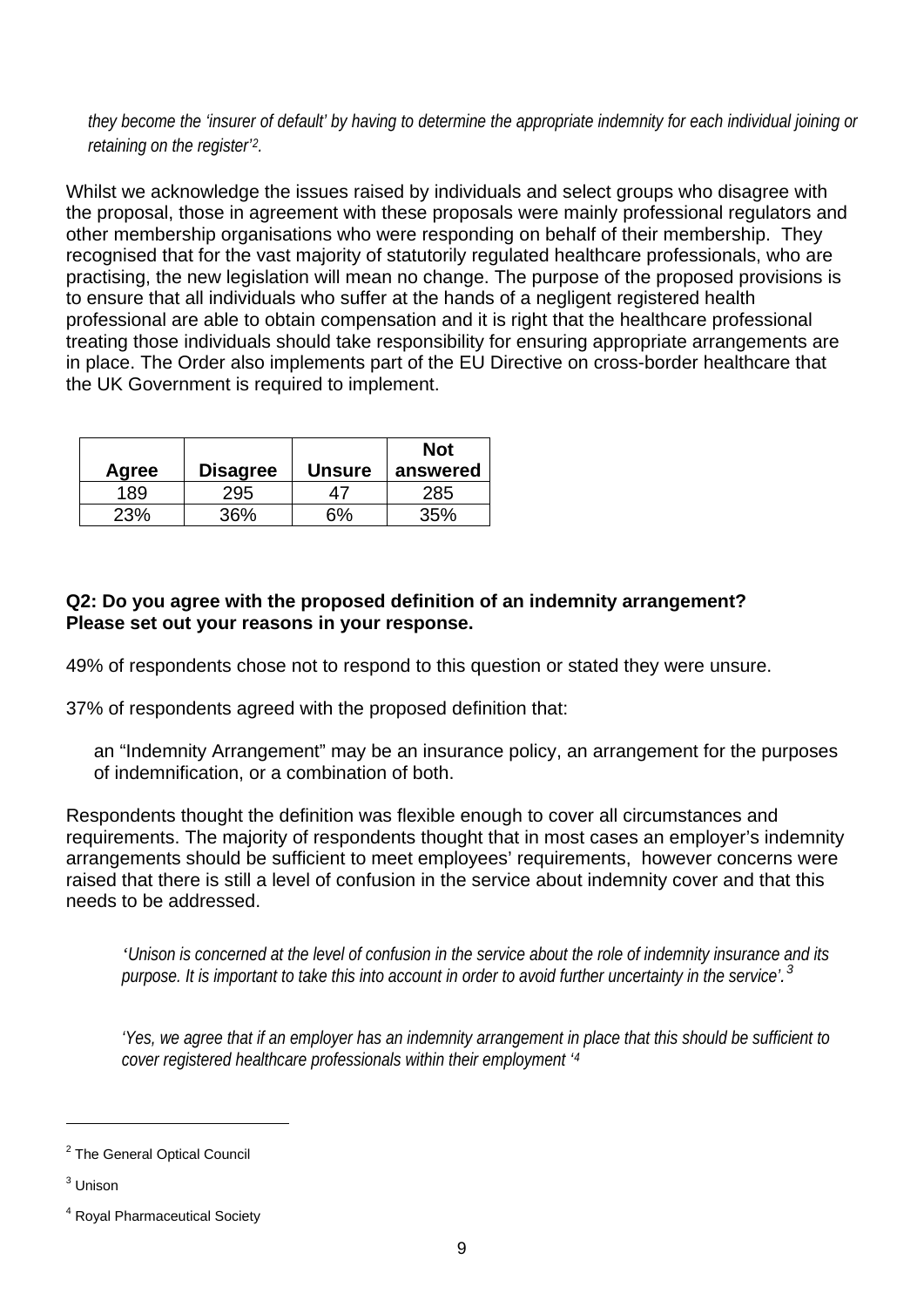*they become the 'insurer of default' by having to determine the appropriate indemnity for each individual joining or retaining on the register'[2](#page-8-0).*

Whilst we acknowledge the issues raised by individuals and select groups who disagree with the proposal, those in agreement with these proposals were mainly professional regulators and other membership organisations who were responding on behalf of their membership. They recognised that for the vast majority of statutorily regulated healthcare professionals, who are practising, the new legislation will mean no change. The purpose of the proposed provisions is to ensure that all individuals who suffer at the hands of a negligent registered health professional are able to obtain compensation and it is right that the healthcare professional treating those individuals should take responsibility for ensuring appropriate arrangements are in place. The Order also implements part of the EU Directive on cross-border healthcare that the UK Government is required to implement.

|       |          |               | <b>Not</b> |
|-------|----------|---------------|------------|
| Agree | Disagree | <b>Unsure</b> | answered   |
| 189   | 295      |               | 285        |
| 23%   | 36%      | 6%            | 35%        |

#### **Q2: Do you agree with the proposed definition of an indemnity arrangement? Please set out your reasons in your response.**

49% of respondents chose not to respond to this question or stated they were unsure.

37% of respondents agreed with the proposed definition that:

an "Indemnity Arrangement" may be an insurance policy, an arrangement for the purposes of indemnification, or a combination of both.

Respondents thought the definition was flexible enough to cover all circumstances and requirements. The majority of respondents thought that in most cases an employer's indemnity arrangements should be sufficient to meet employees' requirements, however concerns were raised that there is still a level of confusion in the service about indemnity cover and that this needs to be addressed.

*'Unison is concerned at the level of confusion in the service about the role of indemnity insurance and its purpose. It is important to take this into account in order to avoid further uncertainty in the service'. [3](#page-8-1)*

*'Yes, we agree that if an employer has an indemnity arrangement in place that this should be sufficient to cover registered healthcare professionals within their employment '[4](#page-8-2)*

<span id="page-8-0"></span><sup>2</sup> The General Optical Council

<span id="page-8-1"></span><sup>3</sup> Unison

<span id="page-8-2"></span><sup>4</sup> Royal Pharmaceutical Society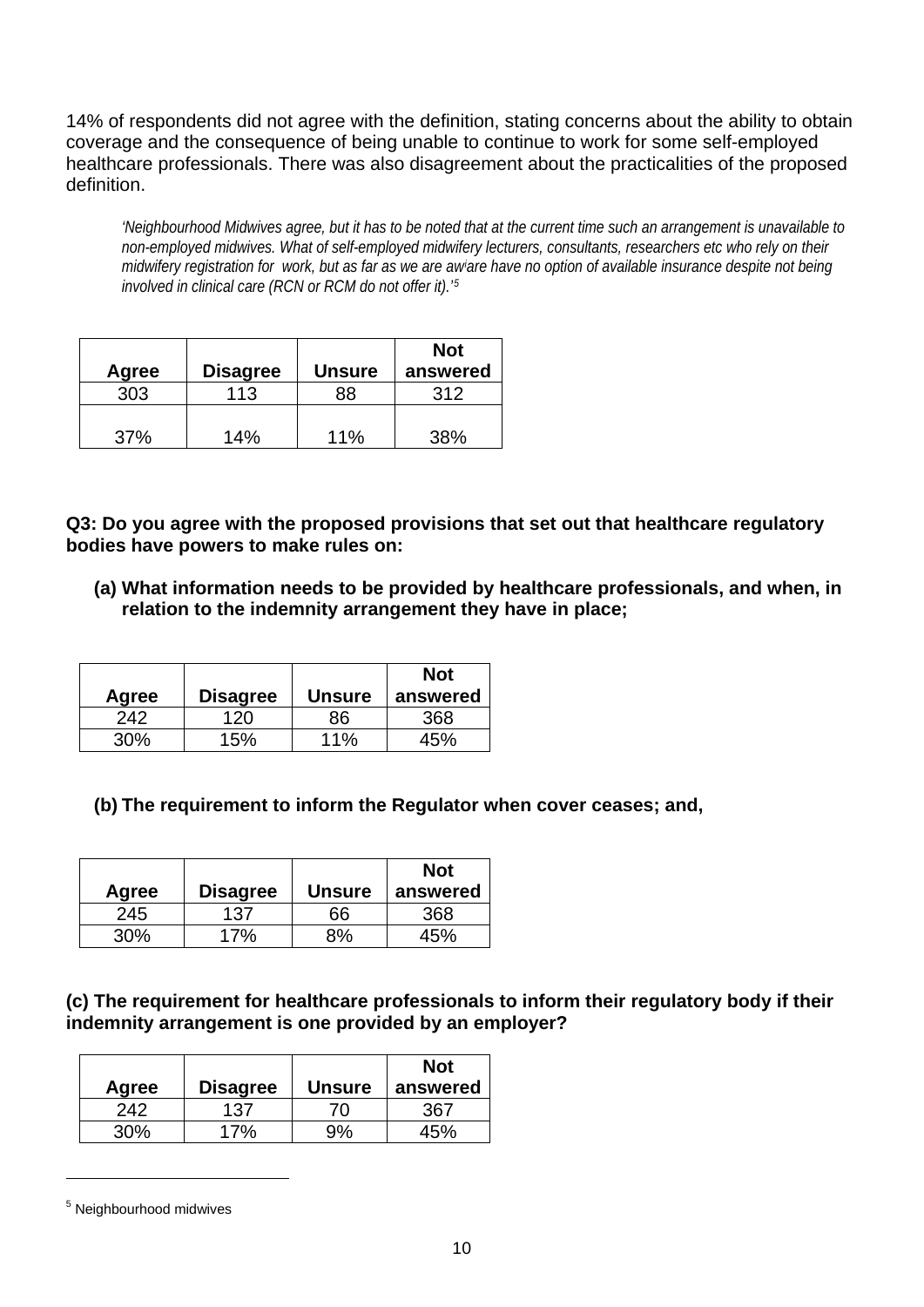14% of respondents did not agree with the definition, stating concerns about the ability to obtain coverage and the consequence of being unable to continue to work for some self-employed healthcare professionals. There was also disagreement about the practicalities of the proposed definition.

*'Neighbourhood Midwives agree, but it has to be noted that at the current time such an arrangement is unavailable to non-employed midwives. What of self-employed midwifery lecturers, consultants, researchers etc who rely on their*  m[i](#page-21-0)dwifery registration for work, but as far as we are aw<sup>i</sup>are have no option of available insurance despite not being *involved in clinical care (RCN or RCM do not offer it).' [5](#page-9-0)*

| Agree | <b>Disagree</b> | <b>Unsure</b> | <b>Not</b><br>answered |
|-------|-----------------|---------------|------------------------|
| 303   | 113             | 88            | 312                    |
| 37%   | 14%             | 11%           | 38%                    |

**Q3: Do you agree with the proposed provisions that set out that healthcare regulatory bodies have powers to make rules on:**

**(a) What information needs to be provided by healthcare professionals, and when, in relation to the indemnity arrangement they have in place;**

|       |          |               | <b>Not</b> |
|-------|----------|---------------|------------|
| Agree | Disagree | <b>Unsure</b> | answered   |
| 242   | 120      | 86            | 368        |
| 30%   | 15%      | 11%           | 45%        |

**(b) The requirement to inform the Regulator when cover ceases; and,**

|       |          |        | <b>Not</b> |
|-------|----------|--------|------------|
| Agree | Disagree | Unsure | answered   |
| 245   | 137      | 66     | 368        |
| 30%   | 17%      | 8%     | 45%        |

**(c) The requirement for healthcare professionals to inform their regulatory body if their indemnity arrangement is one provided by an employer?**

|       |                 |        | <b>Not</b> |
|-------|-----------------|--------|------------|
| Agree | <b>Disagree</b> | Unsure | answered   |
| 242   | 137             | 70     | 367        |
| 30%   | 17%             | 9%     | 45%        |

<span id="page-9-0"></span><sup>5</sup> Neighbourhood midwives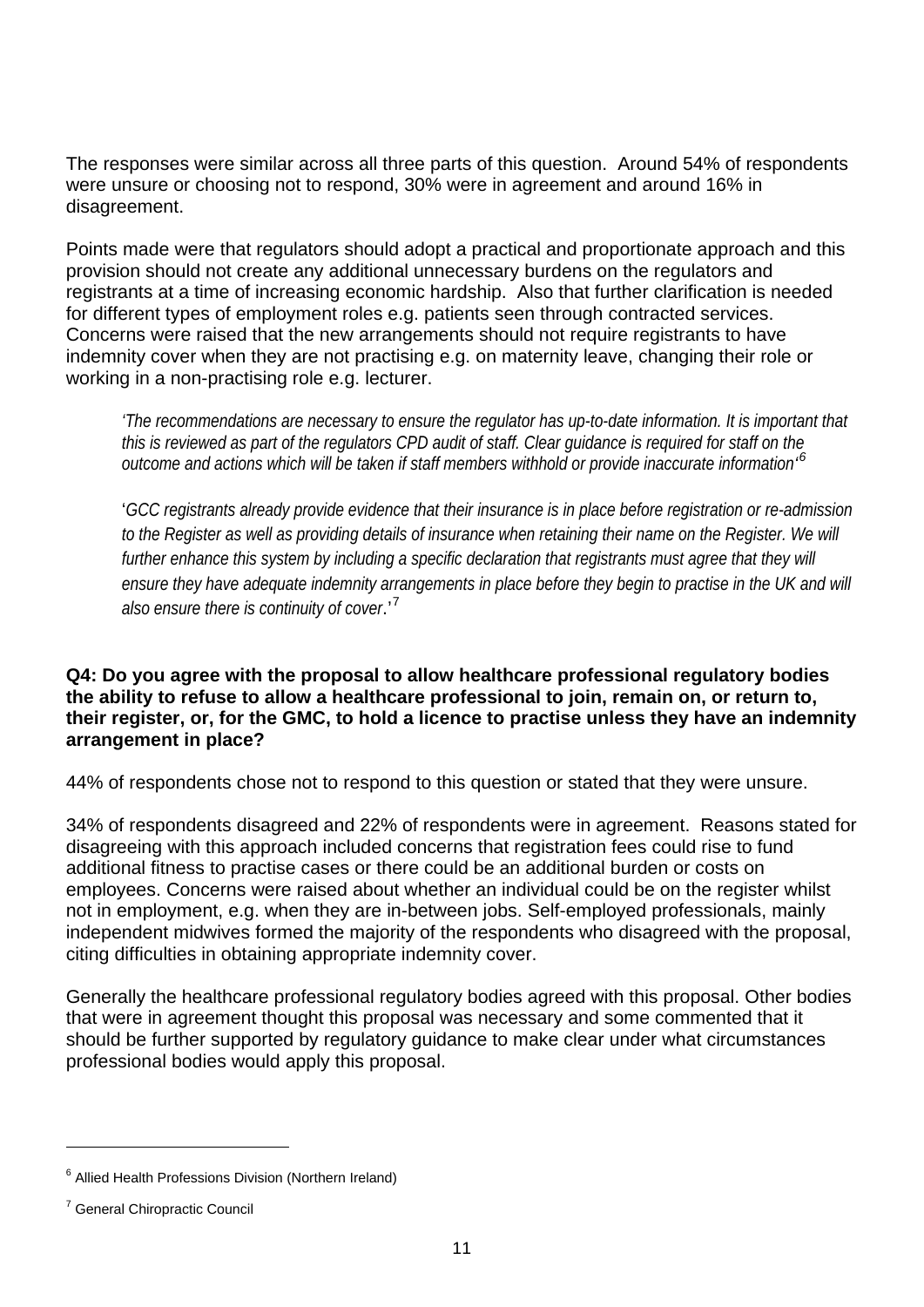The responses were similar across all three parts of this question. Around 54% of respondents were unsure or choosing not to respond, 30% were in agreement and around 16% in disagreement.

Points made were that regulators should adopt a practical and proportionate approach and this provision should not create any additional unnecessary burdens on the regulators and registrants at a time of increasing economic hardship. Also that further clarification is needed for different types of employment roles e.g. patients seen through contracted services. Concerns were raised that the new arrangements should not require registrants to have indemnity cover when they are not practising e.g. on maternity leave, changing their role or working in a non-practising role e.g. lecturer.

*'The recommendations are necessary to ensure the regulator has up-to-date information. It is important that this is reviewed as part of the regulators CPD audit of staff. Clear guidance is required for staff on the outcome and actions which will be taken if staff members withhold or provide inaccurate information' [6](#page-10-0)*

'*GCC registrants already provide evidence that their insurance is in place before registration or re-admission*  to the Register as well as providing details of insurance when retaining their name on the Register. We will further enhance this system by including a specific declaration that registrants must agree that they will *ensure they have adequate indemnity arrangements in place before they begin to practise in the UK and will also ensure there is continuity of cover*.' [7](#page-10-1)

#### **Q4: Do you agree with the proposal to allow healthcare professional regulatory bodies the ability to refuse to allow a healthcare professional to join, remain on, or return to, their register, or, for the GMC, to hold a licence to practise unless they have an indemnity arrangement in place?**

44% of respondents chose not to respond to this question or stated that they were unsure.

34% of respondents disagreed and 22% of respondents were in agreement. Reasons stated for disagreeing with this approach included concerns that registration fees could rise to fund additional fitness to practise cases or there could be an additional burden or costs on employees. Concerns were raised about whether an individual could be on the register whilst not in employment, e.g. when they are in-between jobs. Self-employed professionals, mainly independent midwives formed the majority of the respondents who disagreed with the proposal, citing difficulties in obtaining appropriate indemnity cover.

Generally the healthcare professional regulatory bodies agreed with this proposal. Other bodies that were in agreement thought this proposal was necessary and some commented that it should be further supported by regulatory guidance to make clear under what circumstances professional bodies would apply this proposal.

<span id="page-10-0"></span><sup>&</sup>lt;sup>6</sup> Allied Health Professions Division (Northern Ireland)

<span id="page-10-1"></span><sup>7</sup> General Chiropractic Council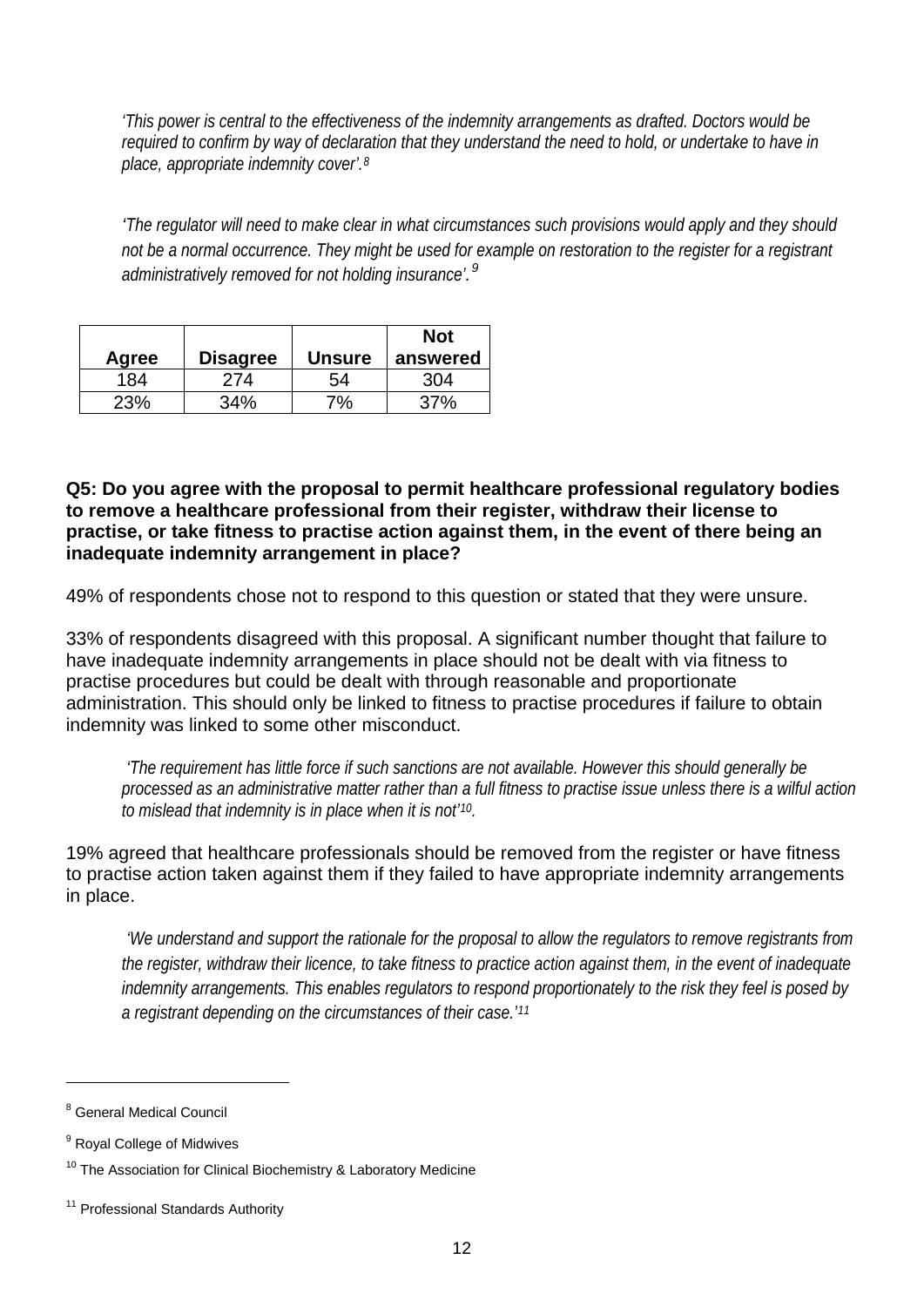*'This power is central to the effectiveness of the indemnity arrangements as drafted. Doctors would be required to confirm by way of declaration that they understand the need to hold, or undertake to have in place, appropriate indemnity cover'.[8](#page-11-0)*

*'The regulator will need to make clear in what circumstances such provisions would apply and they should*  not be a normal occurrence. They might be used for example on restoration to the register for a registrant *administratively removed for not holding insurance'. [9](#page-11-1)*

|       |          |               | <b>Not</b> |
|-------|----------|---------------|------------|
| Agree | Disagree | <b>Unsure</b> | answered   |
| 184   | 274      | 54            | 304        |
| 23%   | 34%      | 7%            | 37%        |

**Q5: Do you agree with the proposal to permit healthcare professional regulatory bodies to remove a healthcare professional from their register, withdraw their license to practise, or take fitness to practise action against them, in the event of there being an inadequate indemnity arrangement in place?**

49% of respondents chose not to respond to this question or stated that they were unsure.

33% of respondents disagreed with this proposal. A significant number thought that failure to have inadequate indemnity arrangements in place should not be dealt with via fitness to practise procedures but could be dealt with through reasonable and proportionate administration. This should only be linked to fitness to practise procedures if failure to obtain indemnity was linked to some other misconduct.

*'The requirement has little force if such sanctions are not available. However this should generally be processed as an administrative matter rather than a full fitness to practise issue unless there is a wilful action to mislead that indemnity is in place when it is not' [10](#page-11-2).*

19% agreed that healthcare professionals should be removed from the register or have fitness to practise action taken against them if they failed to have appropriate indemnity arrangements in place.

*'We understand and support the rationale for the proposal to allow the regulators to remove registrants from the register, withdraw their licence, to take fitness to practice action against them, in the event of inadequate indemnity arrangements. This enables regulators to respond proportionately to the risk they feel is posed by a registrant depending on the circumstances of their case.'[11](#page-11-3)*

<span id="page-11-0"></span><sup>8</sup> General Medical Council

<span id="page-11-1"></span><sup>&</sup>lt;sup>9</sup> Royal College of Midwives

<span id="page-11-2"></span><sup>&</sup>lt;sup>10</sup> The Association for Clinical Biochemistry & Laboratory Medicine

<span id="page-11-3"></span><sup>&</sup>lt;sup>11</sup> Professional Standards Authority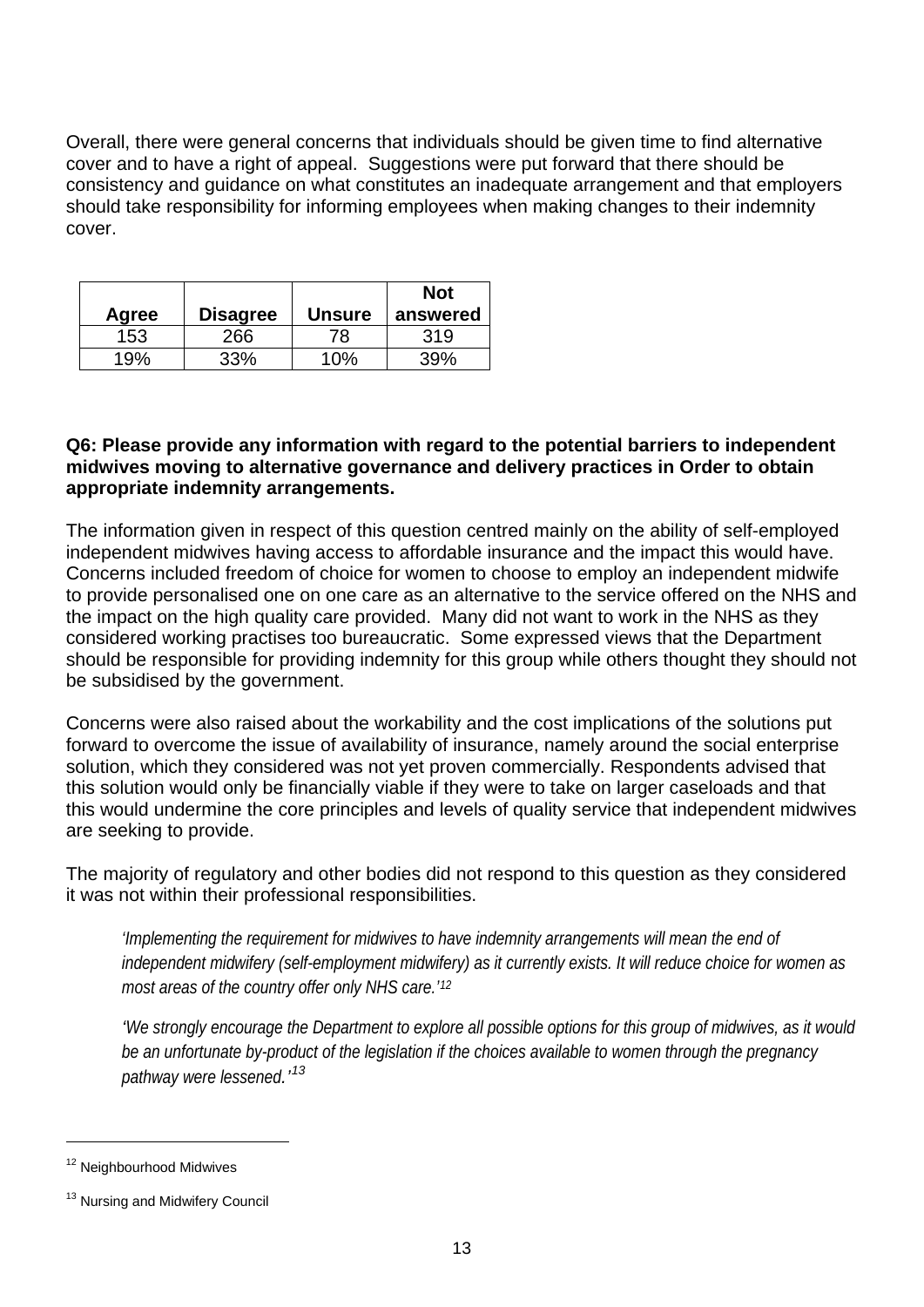Overall, there were general concerns that individuals should be given time to find alternative cover and to have a right of appeal. Suggestions were put forward that there should be consistency and guidance on what constitutes an inadequate arrangement and that employers should take responsibility for informing employees when making changes to their indemnity cover.

|       |                 |               | <b>Not</b> |
|-------|-----------------|---------------|------------|
| Agree | <b>Disagree</b> | <b>Unsure</b> | answered   |
| 153   | 266             | 78            | 319        |
| 19%   | 33%             | 10%           | 39%        |

#### **Q6: Please provide any information with regard to the potential barriers to independent midwives moving to alternative governance and delivery practices in Order to obtain appropriate indemnity arrangements.**

The information given in respect of this question centred mainly on the ability of self-employed independent midwives having access to affordable insurance and the impact this would have. Concerns included freedom of choice for women to choose to employ an independent midwife to provide personalised one on one care as an alternative to the service offered on the NHS and the impact on the high quality care provided. Many did not want to work in the NHS as they considered working practises too bureaucratic. Some expressed views that the Department should be responsible for providing indemnity for this group while others thought they should not be subsidised by the government.

Concerns were also raised about the workability and the cost implications of the solutions put forward to overcome the issue of availability of insurance, namely around the social enterprise solution, which they considered was not yet proven commercially. Respondents advised that this solution would only be financially viable if they were to take on larger caseloads and that this would undermine the core principles and levels of quality service that independent midwives are seeking to provide.

The majority of regulatory and other bodies did not respond to this question as they considered it was not within their professional responsibilities.

*'Implementing the requirement for midwives to have indemnity arrangements will mean the end of independent midwifery (self-employment midwifery) as it currently exists. It will reduce choice for women as most areas of the country offer only NHS care.'[12](#page-12-0)*

*'We strongly encourage the Department to explore all possible options for this group of midwives, as it would be an unfortunate by-product of the legislation if the choices available to women through the pregnancy pathway were lessened.'[13](#page-12-1)*

<span id="page-12-0"></span><sup>&</sup>lt;sup>12</sup> Neighbourhood Midwives

<span id="page-12-1"></span><sup>&</sup>lt;sup>13</sup> Nursing and Midwifery Council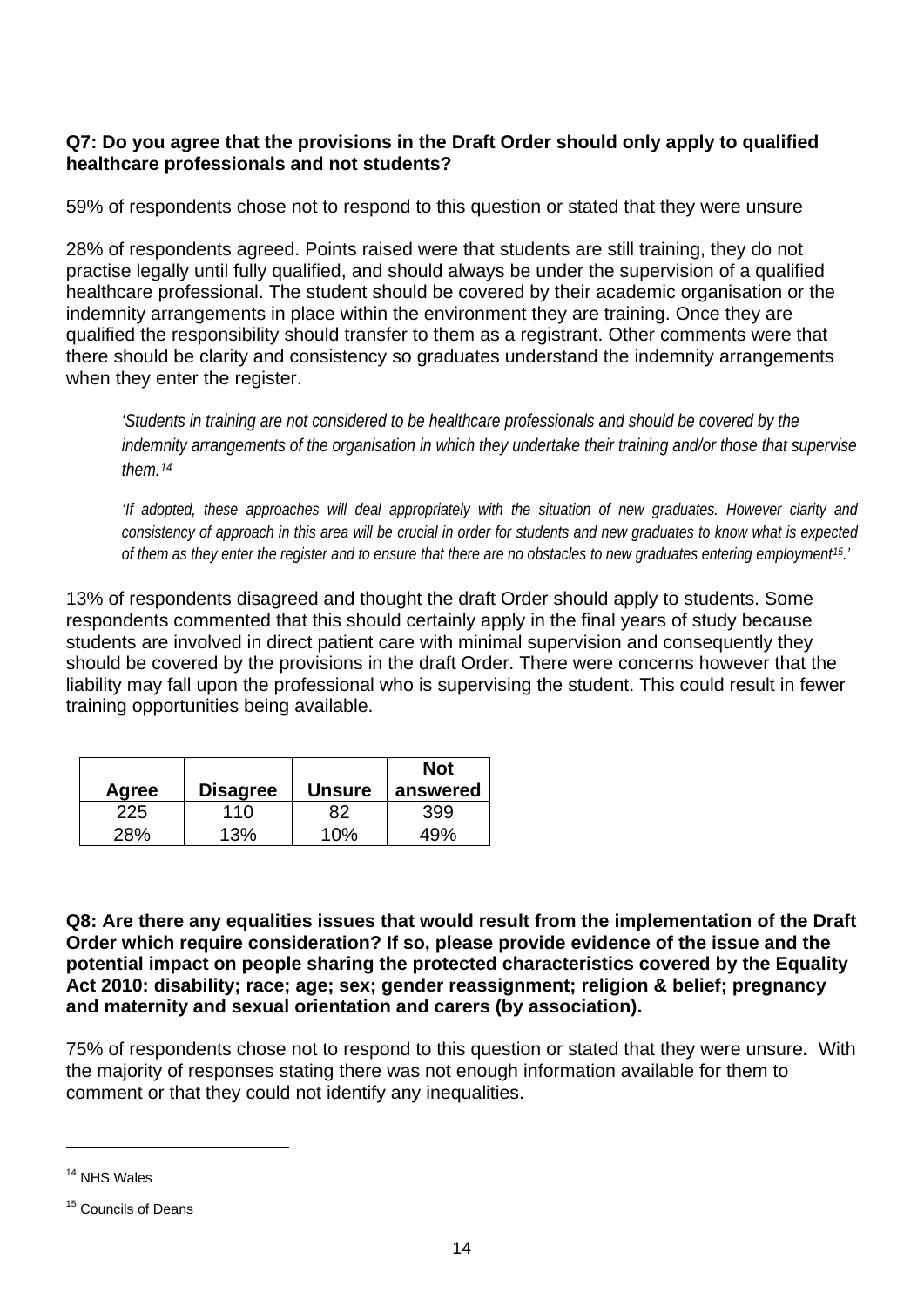#### **Q7: Do you agree that the provisions in the Draft Order should only apply to qualified healthcare professionals and not students?**

59% of respondents chose not to respond to this question or stated that they were unsure

28% of respondents agreed. Points raised were that students are still training, they do not practise legally until fully qualified, and should always be under the supervision of a qualified healthcare professional. The student should be covered by their academic organisation or the indemnity arrangements in place within the environment they are training. Once they are qualified the responsibility should transfer to them as a registrant. Other comments were that there should be clarity and consistency so graduates understand the indemnity arrangements when they enter the register.

*'Students in training are not considered to be healthcare professionals and should be covered by the indemnity arrangements of the organisation in which they undertake their training and/or those that supervise them.[14](#page-13-0)*

*'If adopted, these approaches will deal appropriately with the situation of new graduates. However clarity and consistency of approach in this area will be crucial in order for students and new graduates to know what is expected of them as they enter the register and to ensure that there are no obstacles to new graduates entering employment[15](#page-13-1).'* 

13% of respondents disagreed and thought the draft Order should apply to students. Some respondents commented that this should certainly apply in the final years of study because students are involved in direct patient care with minimal supervision and consequently they should be covered by the provisions in the draft Order. There were concerns however that the liability may fall upon the professional who is supervising the student. This could result in fewer training opportunities being available.

|       |                 |               | <b>Not</b> |
|-------|-----------------|---------------|------------|
| Agree | <b>Disagree</b> | <b>Unsure</b> | answered   |
| 225   | 110             | 82            | 399        |
| ?8%   | 13%             | 10%           | 49%        |

**Q8: Are there any equalities issues that would result from the implementation of the Draft Order which require consideration? If so, please provide evidence of the issue and the potential impact on people sharing the protected characteristics covered by the Equality Act 2010: disability; race; age; sex; gender reassignment; religion & belief; pregnancy and maternity and sexual orientation and carers (by association).**

75% of respondents chose not to respond to this question or stated that they were unsure**.** With the majority of responses stating there was not enough information available for them to comment or that they could not identify any inequalities.

<span id="page-13-0"></span><sup>14</sup> NHS Wales

<span id="page-13-1"></span><sup>&</sup>lt;sup>15</sup> Councils of Deans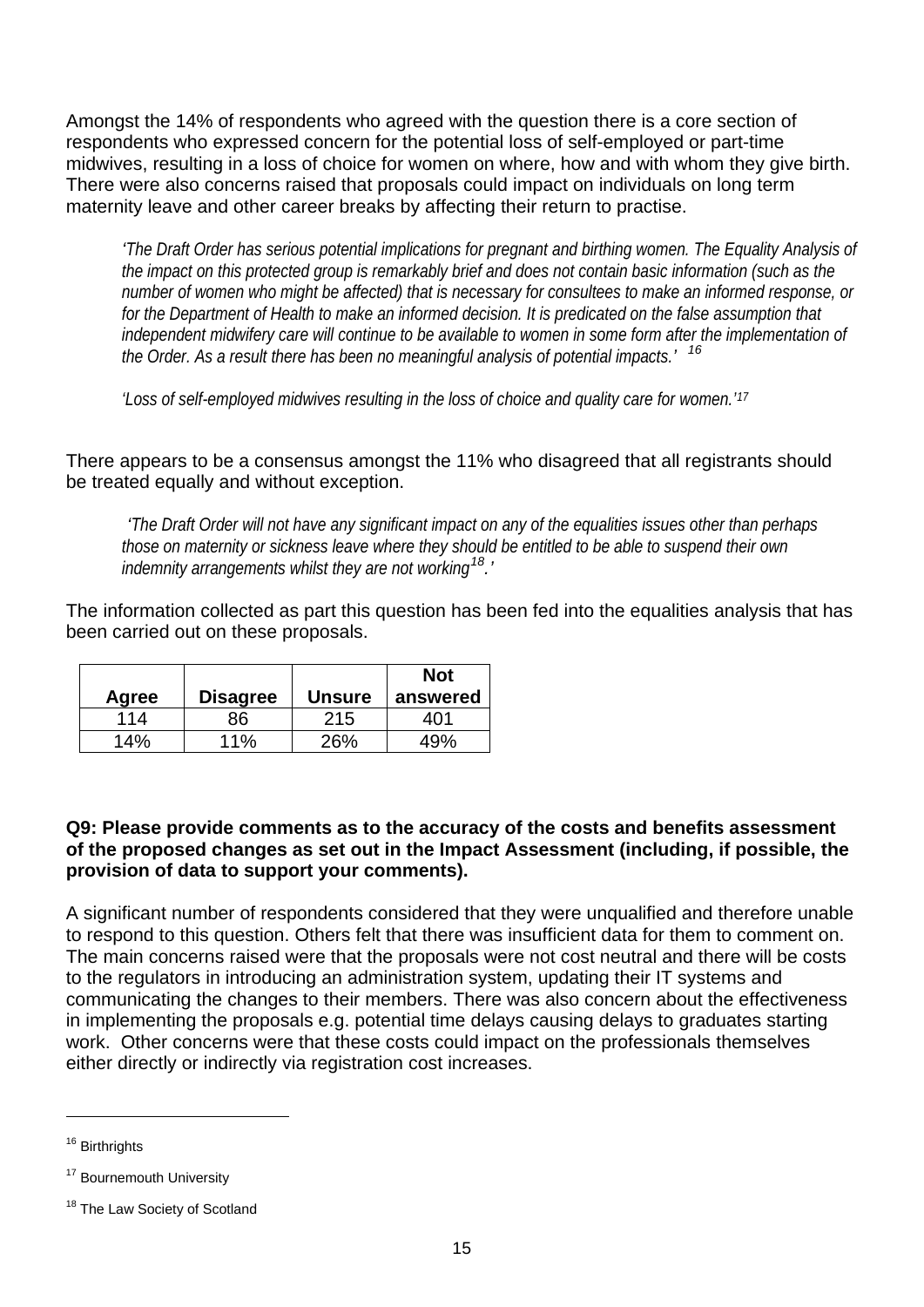Amongst the 14% of respondents who agreed with the question there is a core section of respondents who expressed concern for the potential loss of self-employed or part-time midwives, resulting in a loss of choice for women on where, how and with whom they give birth. There were also concerns raised that proposals could impact on individuals on long term maternity leave and other career breaks by affecting their return to practise.

*'The Draft Order has serious potential implications for pregnant and birthing women. The Equality Analysis of the impact on this protected group is remarkably brief and does not contain basic information (such as the number of women who might be affected) that is necessary for consultees to make an informed response, or for the Department of Health to make an informed decision. It is predicated on the false assumption that independent midwifery care will continue to be available to women in some form after the implementation of the Order. As a result there has been no meaningful analysis of potential impacts.' [16](#page-14-0)*

*'Loss of self-employed midwives resulting in the loss of choice and quality care for women.'[17](#page-14-1)*

There appears to be a consensus amongst the 11% who disagreed that all registrants should be treated equally and without exception.

*'The Draft Order will not have any significant impact on any of the equalities issues other than perhaps those on maternity or sickness leave where they should be entitled to be able to suspend their own indemnity arrangements whilst they are not working[18](#page-14-2).'*

The information collected as part this question has been fed into the equalities analysis that has been carried out on these proposals.

|              |                |                      | <b>Not</b>      |
|--------------|----------------|----------------------|-----------------|
| Agree<br>114 | Disagree<br>86 | <b>Unsure</b><br>215 | answered<br>401 |
| 14%          | $11\%$         | 26%                  | 49%             |

#### **Q9: Please provide comments as to the accuracy of the costs and benefits assessment of the proposed changes as set out in the Impact Assessment (including, if possible, the provision of data to support your comments).**

A significant number of respondents considered that they were unqualified and therefore unable to respond to this question. Others felt that there was insufficient data for them to comment on. The main concerns raised were that the proposals were not cost neutral and there will be costs to the regulators in introducing an administration system, updating their IT systems and communicating the changes to their members. There was also concern about the effectiveness in implementing the proposals e.g. potential time delays causing delays to graduates starting work. Other concerns were that these costs could impact on the professionals themselves either directly or indirectly via registration cost increases.

<span id="page-14-0"></span><sup>&</sup>lt;sup>16</sup> Birthrights

<span id="page-14-1"></span><sup>&</sup>lt;sup>17</sup> Bournemouth University

<span id="page-14-2"></span><sup>&</sup>lt;sup>18</sup> The Law Society of Scotland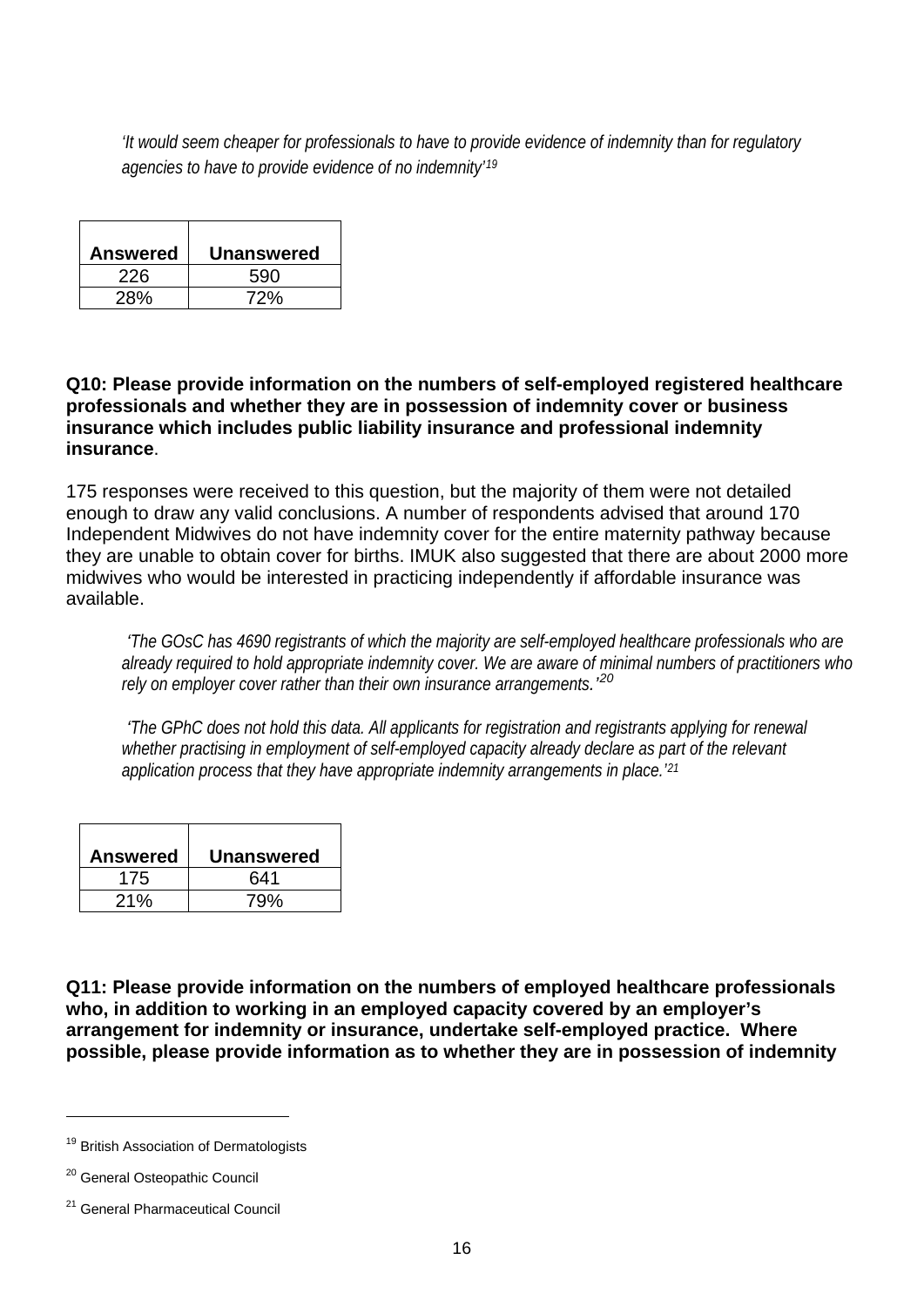*'It would seem cheaper for professionals to have to provide evidence of indemnity than for regulatory agencies to have to provide evidence of no indemnity' [19](#page-15-0)*

| <b>Answered</b> | <b>Unanswered</b> |
|-----------------|-------------------|
| 226             | 590               |
| 28%             | 72%               |

#### **Q10: Please provide information on the numbers of self-employed registered healthcare professionals and whether they are in possession of indemnity cover or business insurance which includes public liability insurance and professional indemnity insurance**.

175 responses were received to this question, but the majority of them were not detailed enough to draw any valid conclusions. A number of respondents advised that around 170 Independent Midwives do not have indemnity cover for the entire maternity pathway because they are unable to obtain cover for births. IMUK also suggested that there are about 2000 more midwives who would be interested in practicing independently if affordable insurance was available.

*'The GOsC has 4690 registrants of which the majority are self-employed healthcare professionals who are already required to hold appropriate indemnity cover. We are aware of minimal numbers of practitioners who rely on employer cover rather than their own insurance arrangements.' [20](#page-15-1)*

*'The GPhC does not hold this data. All applicants for registration and registrants applying for renewal*  whether practising in employment of self-employed capacity already declare as part of the relevant *application process that they have appropriate indemnity arrangements in place.'[21](#page-15-2)*

| <b>Answered</b> | <b>Unanswered</b> |
|-----------------|-------------------|
| 175             | 641               |
| 21%             | 79%               |

**Q11: Please provide information on the numbers of employed healthcare professionals who, in addition to working in an employed capacity covered by an employer's arrangement for indemnity or insurance, undertake self-employed practice. Where possible, please provide information as to whether they are in possession of indemnity** 

<span id="page-15-0"></span><sup>&</sup>lt;sup>19</sup> British Association of Dermatologists

<span id="page-15-1"></span><sup>&</sup>lt;sup>20</sup> General Osteopathic Council

<span id="page-15-2"></span><sup>&</sup>lt;sup>21</sup> General Pharmaceutical Council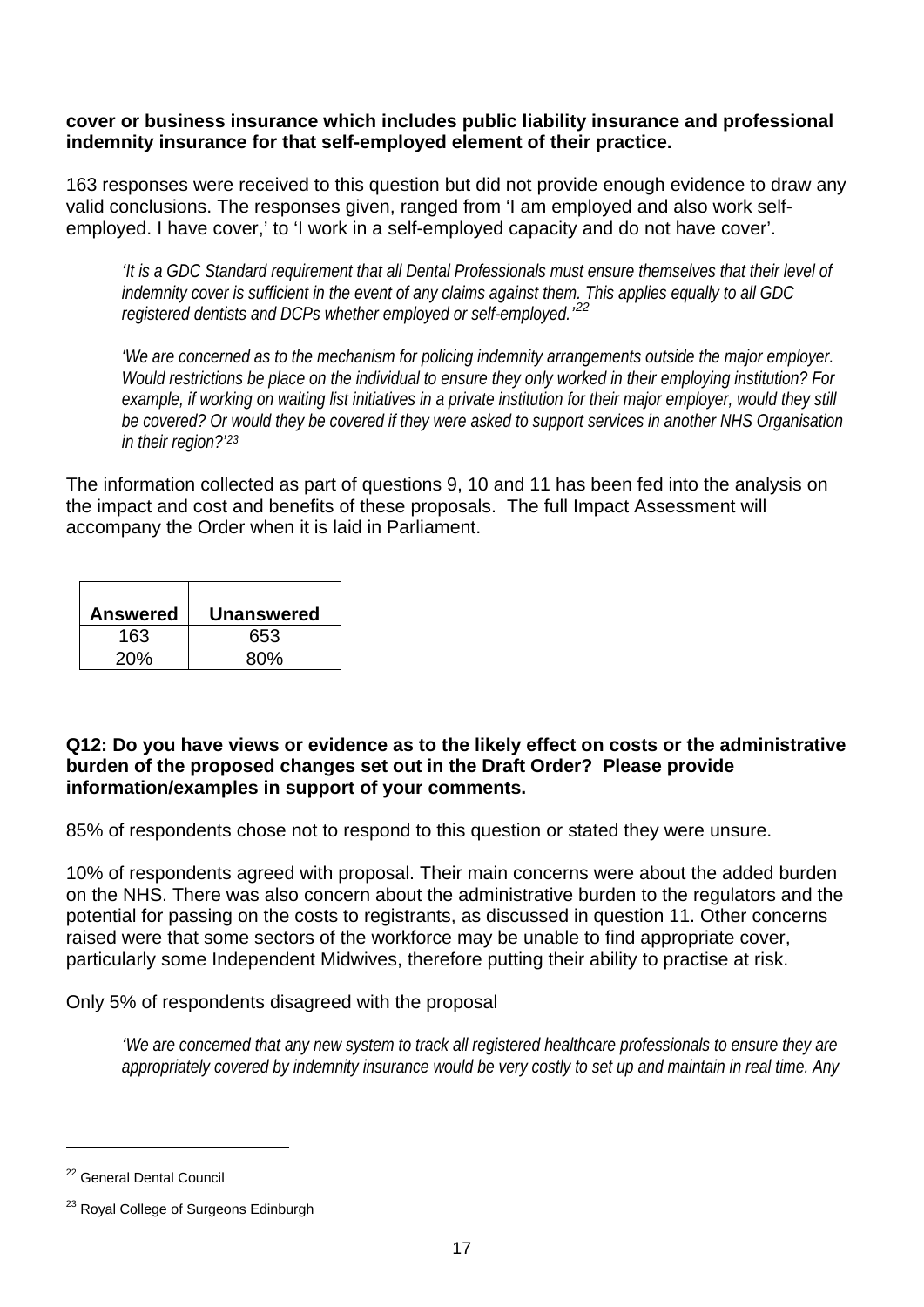#### **cover or business insurance which includes public liability insurance and professional indemnity insurance for that self-employed element of their practice.**

163 responses were received to this question but did not provide enough evidence to draw any valid conclusions. The responses given, ranged from 'I am employed and also work selfemployed. I have cover,' to 'I work in a self-employed capacity and do not have cover'.

*'It is a GDC Standard requirement that all Dental Professionals must ensure themselves that their level of indemnity cover is sufficient in the event of any claims against them. This applies equally to all GDC registered dentists and DCPs whether employed or self-employed.' [22](#page-16-0)*

*'We are concerned as to the mechanism for policing indemnity arrangements outside the major employer. Would restrictions be place on the individual to ensure they only worked in their employing institution? For*  example, if working on waiting list initiatives in a private institution for their major employer, would they still *be covered? Or would they be covered if they were asked to support services in another NHS Organisation in their region?'[23](#page-16-1)*

The information collected as part of questions 9, 10 and 11 has been fed into the analysis on the impact and cost and benefits of these proposals. The full Impact Assessment will accompany the Order when it is laid in Parliament.

| <b>Answered</b> | <b>Unanswered</b> |
|-----------------|-------------------|
| 163             | 653               |
| <b>20%</b>      | 80%               |

#### **Q12: Do you have views or evidence as to the likely effect on costs or the administrative burden of the proposed changes set out in the Draft Order? Please provide information/examples in support of your comments.**

85% of respondents chose not to respond to this question or stated they were unsure.

10% of respondents agreed with proposal. Their main concerns were about the added burden on the NHS. There was also concern about the administrative burden to the regulators and the potential for passing on the costs to registrants, as discussed in question 11. Other concerns raised were that some sectors of the workforce may be unable to find appropriate cover, particularly some Independent Midwives, therefore putting their ability to practise at risk.

Only 5% of respondents disagreed with the proposal

*'We are concerned that any new system to track all registered healthcare professionals to ensure they are appropriately covered by indemnity insurance would be very costly to set up and maintain in real time. Any* 

<span id="page-16-0"></span><sup>22</sup> General Dental Council

<span id="page-16-1"></span><sup>&</sup>lt;sup>23</sup> Royal College of Surgeons Edinburgh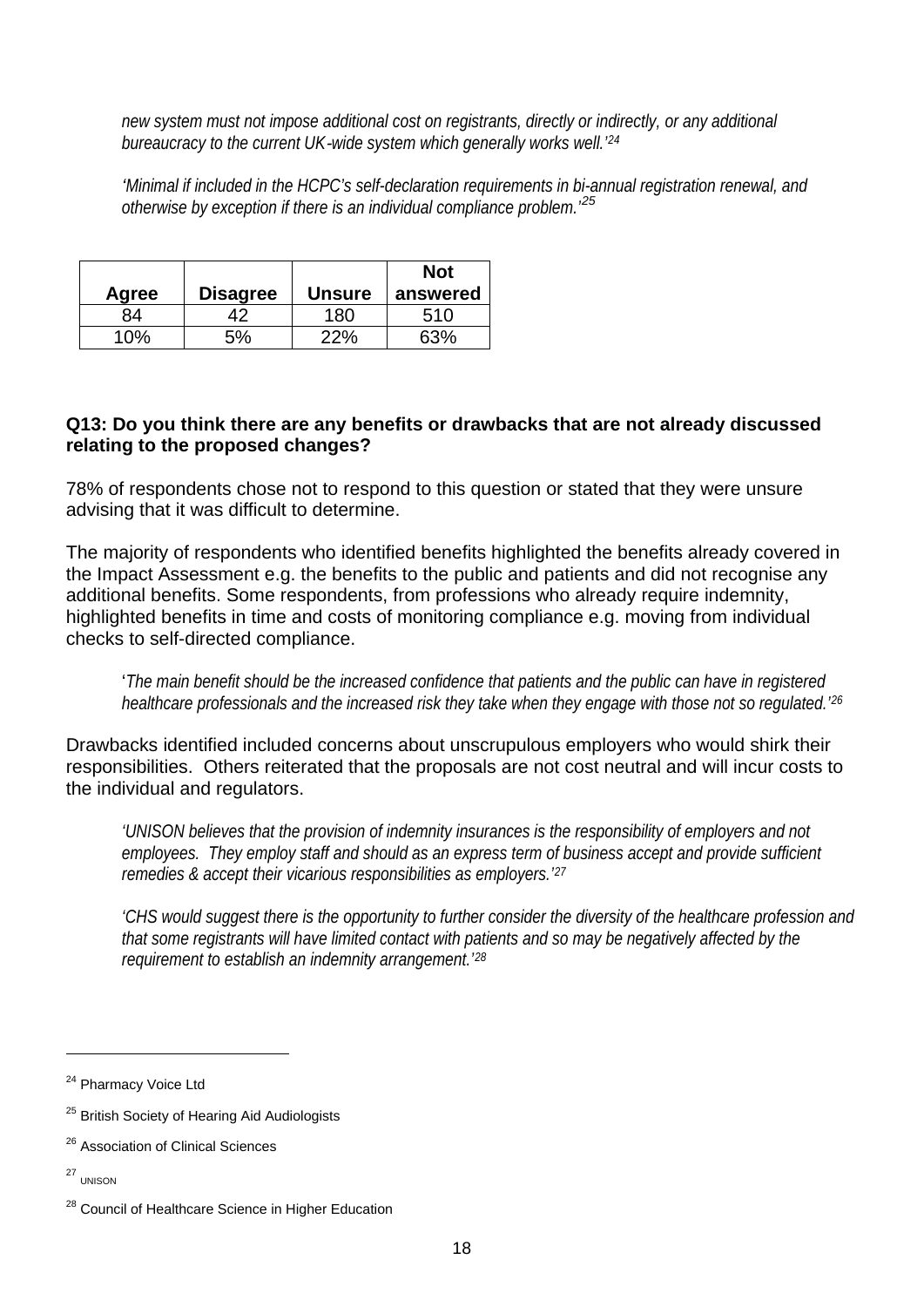*new system must not impose additional cost on registrants, directly or indirectly, or any additional bureaucracy to the current UK*‐*wide system which generally works well.'[24](#page-17-0)*

*'Minimal if included in the HCPC's self-declaration requirements in bi-annual registration renewal, and otherwise by exception if there is an individual compliance problem.'[25](#page-17-1)*

| Agree | Disagree | <b>Unsure</b> | <b>Not</b><br>answered |
|-------|----------|---------------|------------------------|
| 84    | 12       | 180           | 510                    |
| 10%   | 5%       | 22%           | 63%                    |

#### **Q13: Do you think there are any benefits or drawbacks that are not already discussed relating to the proposed changes?**

78% of respondents chose not to respond to this question or stated that they were unsure advising that it was difficult to determine.

The majority of respondents who identified benefits highlighted the benefits already covered in the Impact Assessment e.g. the benefits to the public and patients and did not recognise any additional benefits. Some respondents, from professions who already require indemnity, highlighted benefits in time and costs of monitoring compliance e.g. moving from individual checks to self-directed compliance.

'*The main benefit should be the increased confidence that patients and the public can have in registered healthcare professionals and the increased risk they take when they engage with those not so regulated.'[26](#page-17-2)*

Drawbacks identified included concerns about unscrupulous employers who would shirk their responsibilities. Others reiterated that the proposals are not cost neutral and will incur costs to the individual and regulators.

*'UNISON believes that the provision of indemnity insurances is the responsibility of employers and not employees. They employ staff and should as an express term of business accept and provide sufficient remedies & accept their vicarious responsibilities as employers.'[27](#page-17-3)*

*'CHS would suggest there is the opportunity to further consider the diversity of the healthcare profession and that some registrants will have limited contact with patients and so may be negatively affected by the requirement to establish an indemnity arrangement.'[28](#page-17-4)*

<span id="page-17-3"></span><sup>27</sup> UNISON

<span id="page-17-0"></span><sup>&</sup>lt;sup>24</sup> Pharmacy Voice Ltd

<span id="page-17-1"></span><sup>&</sup>lt;sup>25</sup> British Society of Hearing Aid Audiologists

<span id="page-17-2"></span><sup>&</sup>lt;sup>26</sup> Association of Clinical Sciences

<span id="page-17-4"></span><sup>&</sup>lt;sup>28</sup> Council of Healthcare Science in Higher Education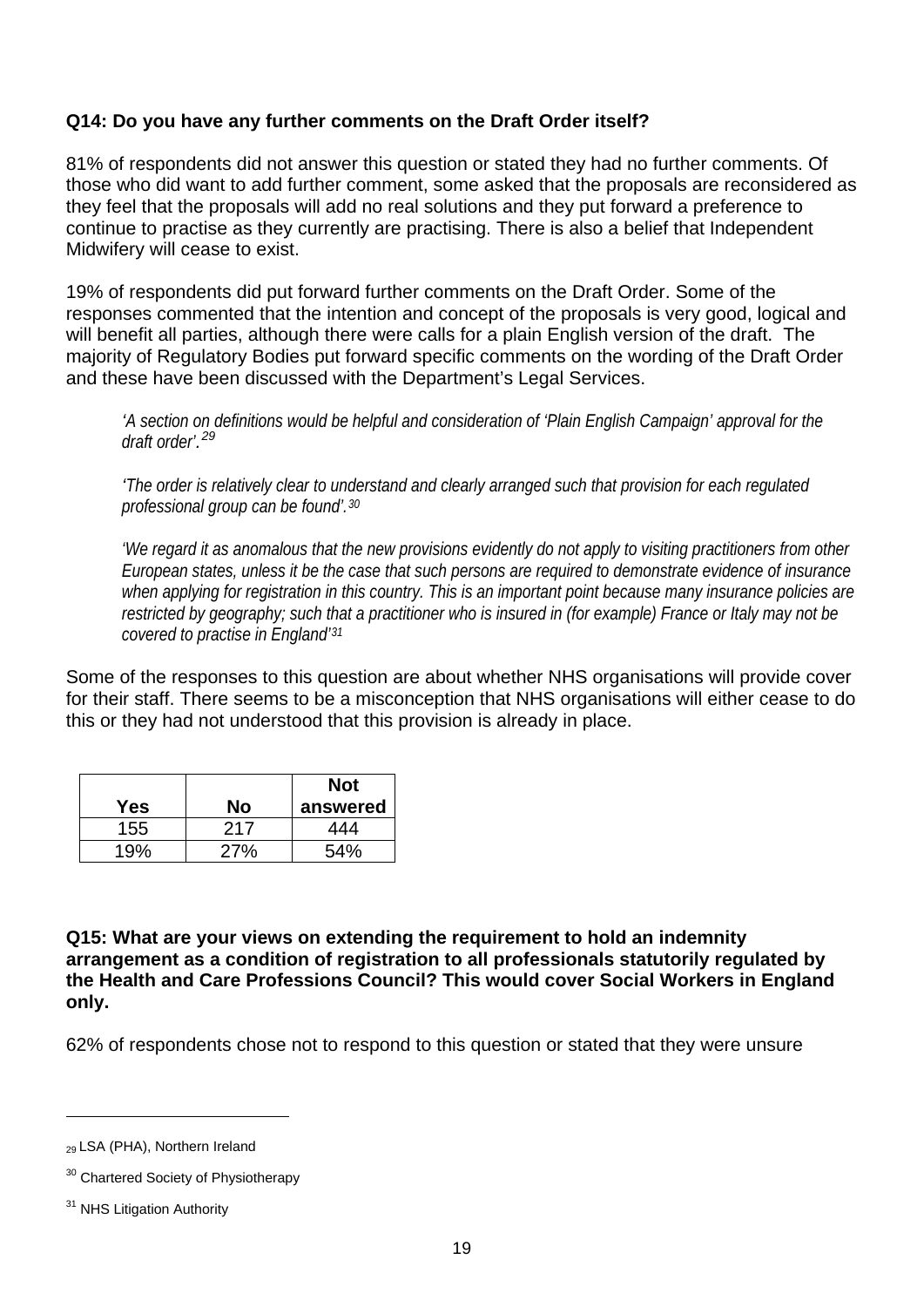#### **Q14: Do you have any further comments on the Draft Order itself?**

81% of respondents did not answer this question or stated they had no further comments. Of those who did want to add further comment, some asked that the proposals are reconsidered as they feel that the proposals will add no real solutions and they put forward a preference to continue to practise as they currently are practising. There is also a belief that Independent Midwifery will cease to exist.

19% of respondents did put forward further comments on the Draft Order. Some of the responses commented that the intention and concept of the proposals is very good, logical and will benefit all parties, although there were calls for a plain English version of the draft. The majority of Regulatory Bodies put forward specific comments on the wording of the Draft Order and these have been discussed with the Department's Legal Services.

*'A section on definitions would be helpful and consideration of 'Plain English Campaign' approval for the draft order'. [29](#page-18-0)*

*'The order is relatively clear to understand and clearly arranged such that provision for each regulated professional group can be found'.[30](#page-18-1)*

*'We regard it as anomalous that the new provisions evidently do not apply to visiting practitioners from other European states, unless it be the case that such persons are required to demonstrate evidence of insurance when applying for registration in this country. This is an important point because many insurance policies are restricted by geography; such that a practitioner who is insured in (for example) France or Italy may not be covered to practise in England'[31](#page-18-2)*

Some of the responses to this question are about whether NHS organisations will provide cover for their staff. There seems to be a misconception that NHS organisations will either cease to do this or they had not understood that this provision is already in place.

|     |     | <b>Not</b> |
|-----|-----|------------|
| Yes | No  | answered   |
| 155 | 217 | 444        |
| 19% | 27% | 54%        |

**Q15: What are your views on extending the requirement to hold an indemnity arrangement as a condition of registration to all professionals statutorily regulated by the Health and Care Professions Council? This would cover Social Workers in England only.**

62% of respondents chose not to respond to this question or stated that they were unsure

<span id="page-18-0"></span><sup>&</sup>lt;sub>29</sub> LSA (PHA), Northern Ireland

<span id="page-18-1"></span><sup>&</sup>lt;sup>30</sup> Chartered Society of Physiotherapy

<span id="page-18-2"></span><sup>&</sup>lt;sup>31</sup> NHS Litigation Authority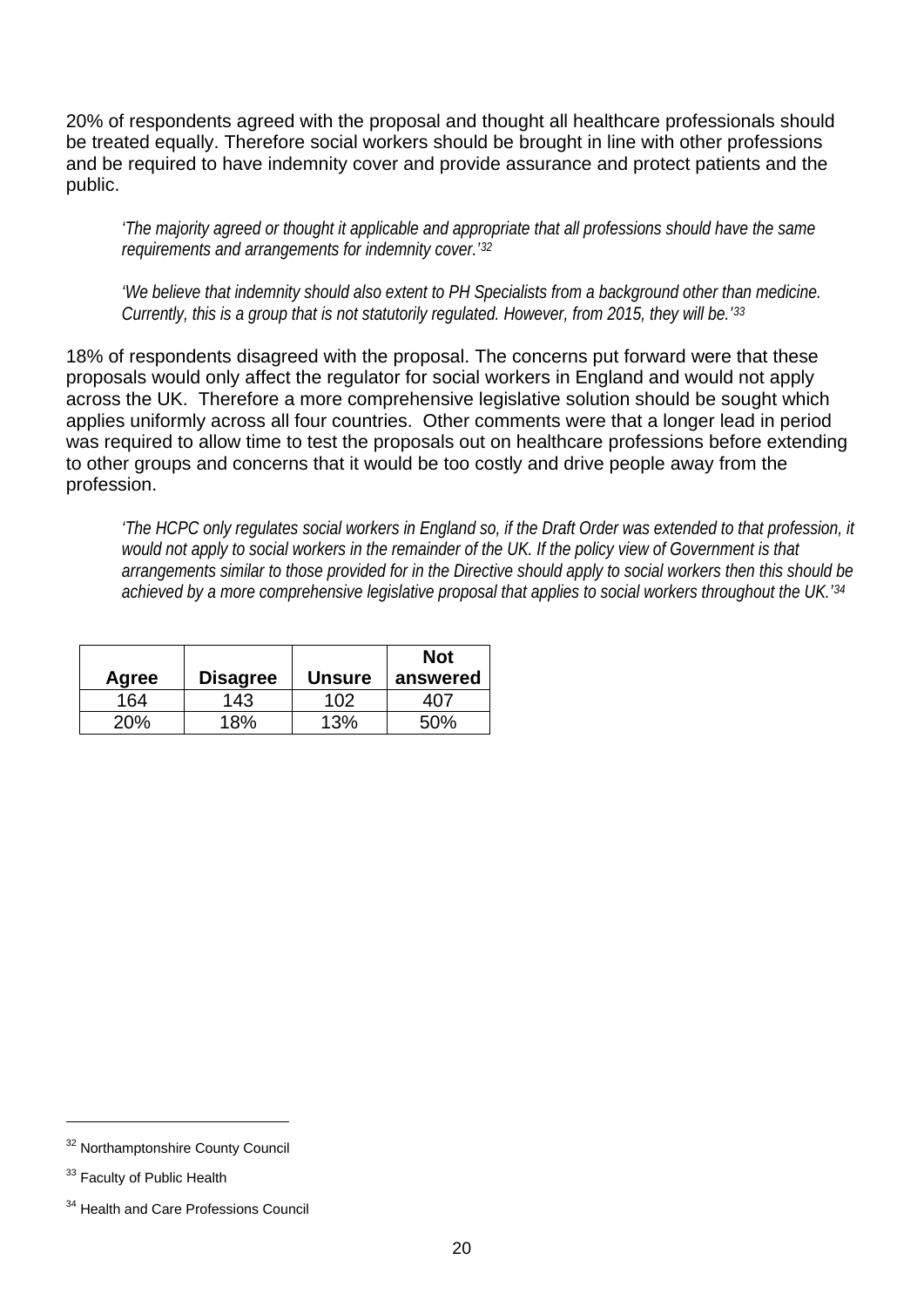20% of respondents agreed with the proposal and thought all healthcare professionals should be treated equally. Therefore social workers should be brought in line with other professions and be required to have indemnity cover and provide assurance and protect patients and the public.

*'The majority agreed or thought it applicable and appropriate that all professions should have the same requirements and arrangements for indemnity cover.' [32](#page-19-0)*

*'We believe that indemnity should also extent to PH Specialists from a background other than medicine. Currently, this is a group that is not statutorily regulated. However, from 2015, they will be.'[33](#page-19-1)*

18% of respondents disagreed with the proposal. The concerns put forward were that these proposals would only affect the regulator for social workers in England and would not apply across the UK. Therefore a more comprehensive legislative solution should be sought which applies uniformly across all four countries. Other comments were that a longer lead in period was required to allow time to test the proposals out on healthcare professions before extending to other groups and concerns that it would be too costly and drive people away from the profession.

*'The HCPC only regulates social workers in England so, if the Draft Order was extended to that profession, it*  would not apply to social workers in the remainder of the UK. If the policy view of Government is that *arrangements similar to those provided for in the Directive should apply to social workers then this should be achieved by a more comprehensive legislative proposal that applies to social workers throughout the UK.' [34](#page-19-2)*

|            |          |               | <b>Not</b> |
|------------|----------|---------------|------------|
| Agree      | Disagree | <b>Unsure</b> | answered   |
| 164        | 143      | 102           | 407        |
| <b>20%</b> | 18%      | 13%           | 50%        |

<span id="page-19-0"></span><sup>32</sup> Northamptonshire County Council

<span id="page-19-1"></span><sup>&</sup>lt;sup>33</sup> Faculty of Public Health

<span id="page-19-2"></span><sup>&</sup>lt;sup>34</sup> Health and Care Professions Council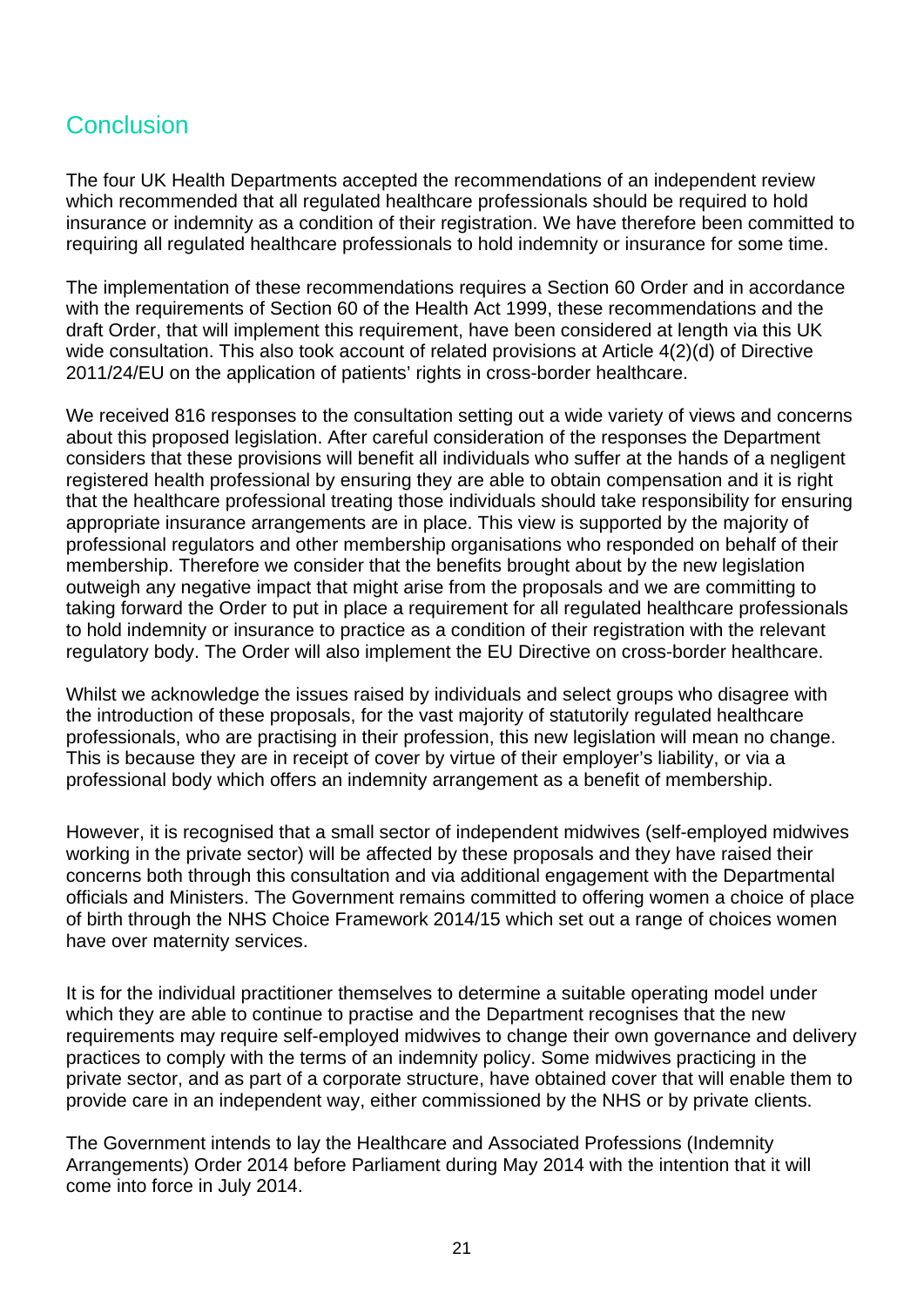## <span id="page-20-0"></span>**Conclusion**

The four UK Health Departments accepted the recommendations of an independent review which recommended that all regulated healthcare professionals should be required to hold insurance or indemnity as a condition of their registration. We have therefore been committed to requiring all regulated healthcare professionals to hold indemnity or insurance for some time.

The implementation of these recommendations requires a Section 60 Order and in accordance with the requirements of Section 60 of the Health Act 1999, these recommendations and the draft Order, that will implement this requirement, have been considered at length via this UK wide consultation. This also took account of related provisions at Article 4(2)(d) of Directive 2011/24/EU on the application of patients' rights in cross-border healthcare.

We received 816 responses to the consultation setting out a wide variety of views and concerns about this proposed legislation. After careful consideration of the responses the Department considers that these provisions will benefit all individuals who suffer at the hands of a negligent registered health professional by ensuring they are able to obtain compensation and it is right that the healthcare professional treating those individuals should take responsibility for ensuring appropriate insurance arrangements are in place. This view is supported by the majority of professional regulators and other membership organisations who responded on behalf of their membership. Therefore we consider that the benefits brought about by the new legislation outweigh any negative impact that might arise from the proposals and we are committing to taking forward the Order to put in place a requirement for all regulated healthcare professionals to hold indemnity or insurance to practice as a condition of their registration with the relevant regulatory body. The Order will also implement the EU Directive on cross-border healthcare.

Whilst we acknowledge the issues raised by individuals and select groups who disagree with the introduction of these proposals, for the vast majority of statutorily regulated healthcare professionals, who are practising in their profession, this new legislation will mean no change. This is because they are in receipt of cover by virtue of their employer's liability, or via a professional body which offers an indemnity arrangement as a benefit of membership.

However, it is recognised that a small sector of independent midwives (self-employed midwives working in the private sector) will be affected by these proposals and they have raised their concerns both through this consultation and via additional engagement with the Departmental officials and Ministers. The Government remains committed to offering women a choice of place of birth through the NHS Choice Framework 2014/15 which set out a range of choices women have over maternity services.

It is for the individual practitioner themselves to determine a suitable operating model under which they are able to continue to practise and the Department recognises that the new requirements may require self-employed midwives to change their own governance and delivery practices to comply with the terms of an indemnity policy. Some midwives practicing in the private sector, and as part of a corporate structure, have obtained cover that will enable them to provide care in an independent way, either commissioned by the NHS or by private clients.

The Government intends to lay the Healthcare and Associated Professions (Indemnity Arrangements) Order 2014 before Parliament during May 2014 with the intention that it will come into force in July 2014.